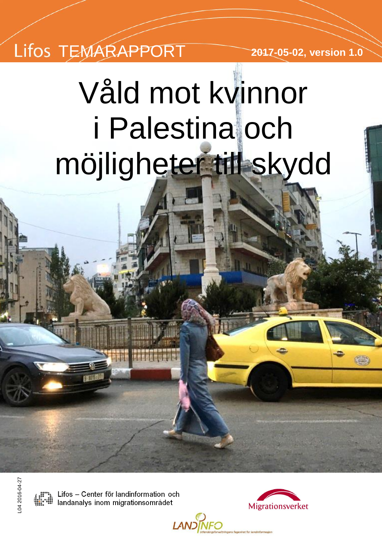# TEMARAPPORT **2017-05-02, version 1.0**

# Våld mot kvinnor i Palestina och möjligheter till skydd

**LANDINFO** 

04 2016-04-27 L04 2016-04-27

Lifos - Center för landinformation och Lifos – Center för landinformation om<br>Iandanalys inom migrationsområdet

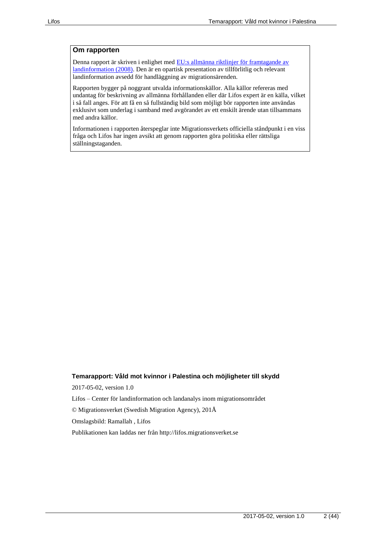#### **Om rapporten**

Denna rapport är skriven i enlighet med **EU**:s allmänna riktlinjer för framtagande av [landinformation \(2008\).](http://www.refworld.org/pdfid/48493f7f2.pdf) Den är en opartisk presentation av tillförlitlig och relevant landinformation avsedd för handläggning av migrationsärenden.

Rapporten bygger på noggrant utvalda informationskällor. Alla källor refereras med undantag för beskrivning av allmänna förhållanden eller där Lifos expert är en källa, vilket i så fall anges. För att få en så fullständig bild som möjligt bör rapporten inte användas exklusivt som underlag i samband med avgörandet av ett enskilt ärende utan tillsammans med andra källor.

Informationen i rapporten återspeglar inte Migrationsverkets officiella ståndpunkt i en viss fråga och Lifos har ingen avsikt att genom rapporten göra politiska eller rättsliga ställningstaganden.

#### **Temarapport: Våld mot kvinnor i Palestina och möjligheter till skydd**

2017-05-02, version 1.0

Lifos – Center för landinformation och landanalys inom migrationsområdet

© Migrationsverket (Swedish Migration Agency), 201Å

Omslagsbild: Ramallah , Lifos

Publikationen kan laddas ner från http://lifos.migrationsverket.se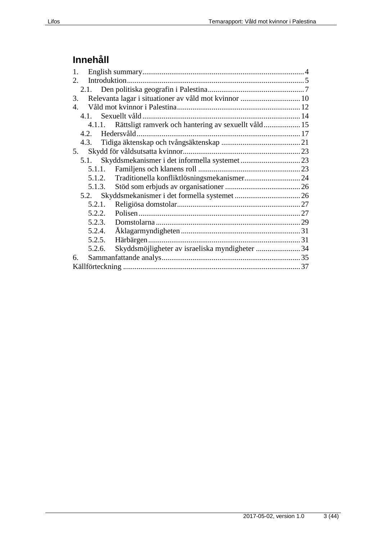# **Innehåll**

| 1.                                                          |  |
|-------------------------------------------------------------|--|
| $2^{\circ}$                                                 |  |
|                                                             |  |
| Relevanta lagar i situationer av våld mot kvinnor  10<br>3. |  |
| 4.                                                          |  |
|                                                             |  |
| 4.1.1. Rättsligt ramverk och hantering av sexuellt våld 15  |  |
|                                                             |  |
| 4.3.                                                        |  |
| 5.                                                          |  |
| 5.1.                                                        |  |
|                                                             |  |
| 5.1.2. Traditionella konfliktlösningsmekanismer 24          |  |
|                                                             |  |
|                                                             |  |
| 5.2.1.                                                      |  |
| 5.2.2.                                                      |  |
| 5.2.3.                                                      |  |
| 5.2.4.                                                      |  |
| 5.2.5.                                                      |  |
| Skyddsmöjligheter av israeliska myndigheter 34<br>5.2.6.    |  |
| б.                                                          |  |
|                                                             |  |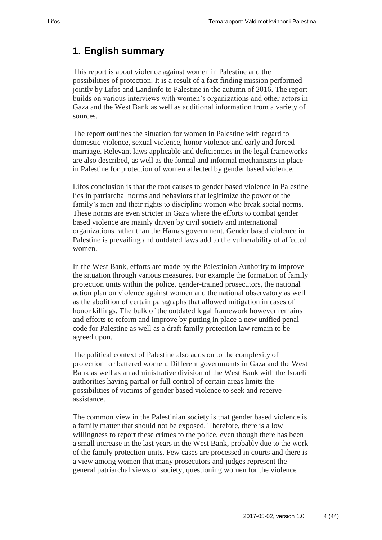# <span id="page-3-0"></span>**1. English summary**

This report is about violence against women in Palestine and the possibilities of protection. It is a result of a fact finding mission performed jointly by Lifos and Landinfo to Palestine in the autumn of 2016. The report builds on various interviews with women's organizations and other actors in Gaza and the West Bank as well as additional information from a variety of sources.

The report outlines the situation for women in Palestine with regard to domestic violence, sexual violence, honor violence and early and forced marriage. Relevant laws applicable and deficiencies in the legal frameworks are also described, as well as the formal and informal mechanisms in place in Palestine for protection of women affected by gender based violence.

Lifos conclusion is that the root causes to gender based violence in Palestine lies in patriarchal norms and behaviors that legitimize the power of the family's men and their rights to discipline women who break social norms. These norms are even stricter in Gaza where the efforts to combat gender based violence are mainly driven by civil society and international organizations rather than the Hamas government. Gender based violence in Palestine is prevailing and outdated laws add to the vulnerability of affected women.

In the West Bank, efforts are made by the Palestinian Authority to improve the situation through various measures. For example the formation of family protection units within the police, gender-trained prosecutors, the national action plan on violence against women and the national observatory as well as the abolition of certain paragraphs that allowed mitigation in cases of honor killings. The bulk of the outdated legal framework however remains and efforts to reform and improve by putting in place a new unified penal code for Palestine as well as a draft family protection law remain to be agreed upon.

The political context of Palestine also adds on to the complexity of protection for battered women. Different governments in Gaza and the West Bank as well as an administrative division of the West Bank with the Israeli authorities having partial or full control of certain areas limits the possibilities of victims of gender based violence to seek and receive assistance.

The common view in the Palestinian society is that gender based violence is a family matter that should not be exposed. Therefore, there is a low willingness to report these crimes to the police, even though there has been a small increase in the last years in the West Bank, probably due to the work of the family protection units. Few cases are processed in courts and there is a view among women that many prosecutors and judges represent the general patriarchal views of society, questioning women for the violence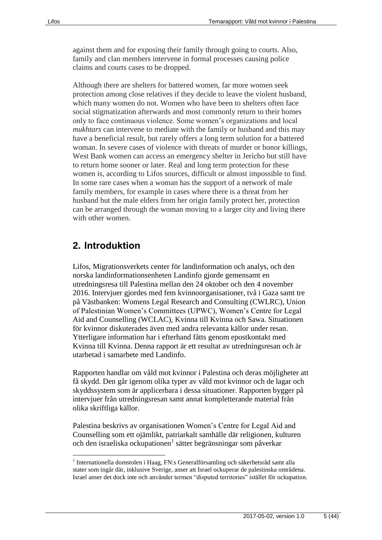against them and for exposing their family through going to courts. Also, family and clan members intervene in formal processes causing police claims and courts cases to be dropped.

Although there are shelters for battered women, far more women seek protection among close relatives if they decide to leave the violent husband, which many women do not. Women who have been to shelters often face social stigmatization afterwards and most commonly return to their homes only to face continuous violence. Some women's organizations and local *mukhtars* can intervene to mediate with the family or husband and this may have a beneficial result, but rarely offers a long term solution for a battered woman. In severe cases of violence with threats of murder or honor killings, West Bank women can access an emergency shelter in Jericho but still have to return home sooner or later. Real and long term protection for these women is, according to Lifos sources, difficult or almost impossible to find. In some rare cases when a woman has the support of a network of male family members, for example in cases where there is a threat from her husband but the male elders from her origin family protect her, protection can be arranged through the woman moving to a larger city and living there with other women.

# <span id="page-4-0"></span>**2. Introduktion**

 $\overline{a}$ 

Lifos, Migrationsverkets center för landinformation och analys, och den norska landinformationsenheten Landinfo gjorde gemensamt en utredningsresa till Palestina mellan den 24 oktober och den 4 november 2016. Intervjuer gjordes med fem kvinnoorganisationer, två i Gaza samt tre på Västbanken: Womens Legal Research and Consulting (CWLRC), Union of Palestinian Women's Committees (UPWC), Women's Centre for Legal Aid and Counselling (WCLAC), Kvinna till Kvinna och Sawa. Situationen för kvinnor diskuterades även med andra relevanta källor under resan. Ytterligare information har i efterhand fåtts genom epostkontakt med Kvinna till Kvinna. Denna rapport är ett resultat av utredningsresan och är utarbetad i samarbete med Landinfo.

Rapporten handlar om våld mot kvinnor i Palestina och deras möjligheter att få skydd. Den går igenom olika typer av våld mot kvinnor och de lagar och skyddssystem som är applicerbara i dessa situationer. Rapporten bygger på intervjuer från utredningsresan samt annat kompletterande material från olika skriftliga källor.

Palestina beskrivs av organisationen Women's Centre for Legal Aid and Counselling som ett ojämlikt, patriarkalt samhälle där religionen, kulturen och den israeliska ockupationen<sup>1</sup> sätter begränsningar som påverkar

<sup>1</sup> Internationella domstolen i Haag, FN:s Generalförsamling och säkerhetsråd samt alla stater som ingår där, inklusive Sverige, anser att Israel ockuperar de palestinska områdena. Israel anser det dock inte och använder termen "disputed territories" istället för ockupation.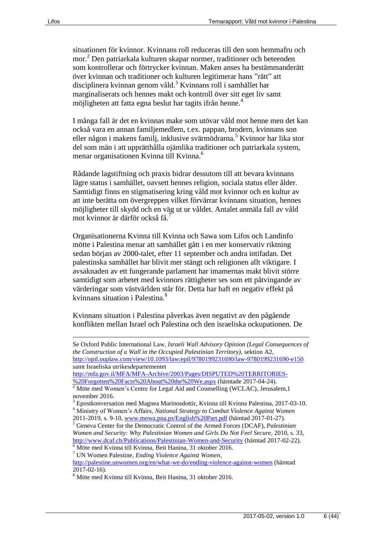situationen för kvinnor. Kvinnans roll reduceras till den som hemmafru och mor.<sup>2</sup> Den patriarkala kulturen skapar normer, traditioner och beteenden som kontrollerar och förtrycker kvinnan. Maken anses ha bestämmanderätt över kvinnan och traditioner och kulturen legitimerar hans "rätt" att disciplinera kvinnan genom våld.<sup>3</sup> Kvinnans roll i samhället har marginaliserats och hennes makt och kontroll över sitt eget liv samt möjligheten att fatta egna beslut har tagits ifrån henne.<sup>4</sup>

I många fall är det en kvinnas make som utövar våld mot henne men det kan också vara en annan familjemedlem, t.ex. pappan, brodern, kvinnans son eller någon i makens familj, inklusive svärmödrarna.<sup>5</sup> Kvinnor har lika stor del som män i att upprätthålla ojämlika traditioner och patriarkala system, menar organisationen Kvinna till Kvinna.<sup>6</sup>

Rådande lagstiftning och praxis bidrar dessutom till att bevara kvinnans lägre status i samhället, oavsett hennes religion, sociala status eller ålder. Samtidigt finns en stigmatisering kring våld mot kvinnor och en kultur av att inte berätta om övergreppen vilket förvärrar kvinnans situation, hennes möjligheter till skydd och en väg ut ur våldet. Antalet anmäla fall av våld mot kvinnor är därför också få.<sup>7</sup>

Organisationerna Kvinna till Kvinna och Sawa som Lifos och Landinfo mötte i Palestina menar att samhället gått i en mer konservativ riktning sedan början av 2000-talet, efter 11 september och andra intifadan. Det palestinska samhället har blivit mer stängt och religionen allt viktigare. I avsaknaden av ett fungerande parlament har imamernas makt blivit större samtidigt som arbetet med kvinnors rättigheter ses som ett påtvingande av värderingar som västvärlden står för. Detta har haft en negativ effekt på kvinnans situation i Palestina<sup>8</sup>

Kvinnans situation i Palestina påverkas även negativt av den pågående konflikten mellan Israel och Palestina och den israeliska ockupationen. De

[http://mfa.gov.il/MFA/MFA-Archive/2003/Pages/DISPUTED%20TERRITORIES-](http://mfa.gov.il/MFA/MFA-Archive/2003/Pages/DISPUTED%20TERRITORIES-%20Forgotten%20Facts%20About%20the%20We.aspx) [%20Forgotten%20Facts%20About%20the%20We.aspx](http://mfa.gov.il/MFA/MFA-Archive/2003/Pages/DISPUTED%20TERRITORIES-%20Forgotten%20Facts%20About%20the%20We.aspx) (hämtade 2017-04-24).

<sup>5</sup> Geneva Center for the Democratic Control of the Armed Forces (DCAF), *Palestinian Women and Security: Why Palestinian Women and Girls Do Not Feel Secure*, 2010, s. 33, <http://www.dcaf.ch/Publications/Palestinian-Women-and-Security> (hämtad 2017-02-22).

<http://palestine.unwomen.org/en/what-we-do/ending-violence-against-women> (hämtad 2017-02-16).

Se Oxford Public International Law*, Israeli Wall Advisory Opinion (Legal Consequences of the Construction of a Wall in the Occupied Palestinian Territory),* sektion A2, <http://opil.ouplaw.com/view/10.1093/law:epil/9780199231690/law-9780199231690-e150> samt Israeliska utrikesdepartementet

 $2$  Möte med Women's Centre for Legal Aid and Counselling (WCLAC), Jerusalem, 1 november 2016.

<sup>3</sup> Epostkonversation med Magnea Marinosdottir, Kvinna till Kvinna Palestina, 2017-03-10.

<sup>4</sup> Ministry of Women's Affairs, *National Strategy to Combat Violence Against Women* 2011-2019, s. 9-10, [www.mowa.pna.ps/English%20Part.pdf](http://www.mowa.pna.ps/English%20Part.pdf) (hämtad 2017-01-27).

<sup>6</sup> Möte med Kvinna till Kvinna, Beit Hanina, 31 oktober 2016. <sup>7</sup> UN Women Palestine, *Ending Violence Against Women*,

<sup>8</sup> Möte med Kvinna till Kvinna, Beit Hanina, 31 oktober 2016.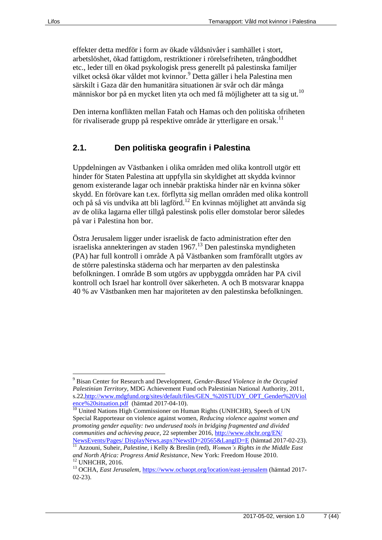effekter detta medför i form av ökade våldsnivåer i samhället i stort, arbetslöshet, ökad fattigdom, restriktioner i rörelsefriheten, trångboddhet etc., leder till en ökad psykologisk press generellt på palestinska familjer vilket också ökar våldet mot kvinnor.<sup>9</sup> Detta gäller i hela Palestina men särskilt i Gaza där den humanitära situationen är svår och där många människor bor på en mycket liten yta och med få möjligheter att ta sig ut.<sup>10</sup>

Den interna konflikten mellan Fatah och Hamas och den politiska ofriheten för rivaliserade grupp på respektive område är ytterligare en orsak.<sup>11</sup>

#### <span id="page-6-0"></span>**2.1. Den politiska geografin i Palestina**

Uppdelningen av Västbanken i olika områden med olika kontroll utgör ett hinder för Staten Palestina att uppfylla sin skyldighet att skydda kvinnor genom existerande lagar och innebär praktiska hinder när en kvinna söker skydd. En förövare kan t.ex. förflytta sig mellan områden med olika kontroll och på så vis undvika att bli lagförd.<sup>12</sup> En kvinnas möjlighet att använda sig av de olika lagarna eller tillgå palestinsk polis eller domstolar beror således på var i Palestina hon bor.

Östra Jerusalem ligger under israelisk de facto administration efter den israeliska annekteringen av staden 1967.<sup>13</sup> Den palestinska myndigheten (PA) har full kontroll i område A på Västbanken som framförallt utgörs av de större palestinska städerna och har merparten av den palestinska befolkningen. I område B som utgörs av uppbyggda områden har PA civil kontroll och Israel har kontroll över säkerheten. A och B motsvarar knappa 40 % av Västbanken men har majoriteten av den palestinska befolkningen.

<sup>9</sup> Bisan Center for Research and Development, *Gender-Based Violence in the Occupied Palestinian Territory*, MDG Achievement Fund och Palestinian National Authority, 2011, s.22[,http://www.mdgfund.org/sites/default/files/GEN\\_%20STUDY\\_OPT\\_Gender%20Viol](http://www.mdgfund.org/sites/default/files/GEN_%20STUDY_OPT_Gender%20Violence%20situation.pdf) [ence%20situation.pdf](http://www.mdgfund.org/sites/default/files/GEN_%20STUDY_OPT_Gender%20Violence%20situation.pdf) (hämtad 2017-04-10).

<sup>&</sup>lt;sup>10</sup> United Nations High Commissioner on Human Rights (UNHCHR), Speech of UN Special Rapporteaur on violence against women, *Reducing violence against women and promoting gender equality: two underused tools in bridging fragmented and divided communities and achieving peace*, 22 september 2016[, http://www.ohchr.org/EN/](http://www.ohchr.org/EN/%20NewsEvents/Pages/%20DisplayNews.aspx?NewsID=20565&LangID=E)  [NewsEvents/Pages/ DisplayNews.aspx?NewsID=20565&LangID=E](http://www.ohchr.org/EN/%20NewsEvents/Pages/%20DisplayNews.aspx?NewsID=20565&LangID=E) (hämtad 2017-02-23).

<sup>11</sup> Azzouni, Suheir, *Palestine*, i Kelly & Breslin (red), *Women's Rights in the Middle East and North Africa: Progress Amid Resistance*, New York: Freedom House 2010. <sup>12</sup> UNHCHR, 2016.

<sup>&</sup>lt;sup>13</sup> OCHA, *East Jerusalem*,<https://www.ochaopt.org/location/east-jerusalem> (hämtad 2017-02-23).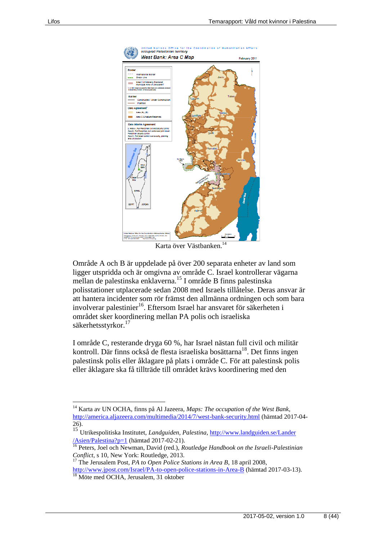

Karta över Västbanken.<sup>14</sup>

Område A och B är uppdelade på över 200 separata enheter av land som ligger utspridda och är omgivna av område C. Israel kontrollerar vägarna mellan de palestinska enklaverna.<sup>15</sup> I område B finns palestinska polisstationer utplacerade sedan 2008 med Israels tillåtelse. Deras ansvar är att hantera incidenter som rör främst den allmänna ordningen och som bara involverar palestinier<sup>16</sup>. Eftersom Israel har ansvaret för säkerheten i området sker koordinering mellan PA polis och israeliska säkerhetsstyrkor.<sup>17</sup>

I område C, resterande dryga 60 %, har Israel nästan full civil och militär kontroll. Där finns också de flesta israeliska bosättarna<sup>18</sup>. Det finns ingen palestinsk polis eller åklagare på plats i område C. För att palestinsk polis eller åklagare ska få tillträde till området krävs koordinering med den

<sup>14</sup> Karta av UN OCHA, finns på Al Jazeera, *Maps: The occupation of the West Bank,* <http://america.aljazeera.com/multimedia/2014/7/west-bank-security.html> (hämtad 2017-04- 26).

<sup>15</sup> Utrikespolitiska Institutet, *Landguiden, Palestina*, [http://www.landguiden.se/Lander](http://www.landguiden.se/Lander%20/Asien/Palestina?p=1)  [/Asien/Palestina?p=1](http://www.landguiden.se/Lander%20/Asien/Palestina?p=1) (hämtad 2017-02-21).

<sup>16</sup> Peters, Joel och Newman, David (red.), *Routledge Handbook on the Israeli-Palestinian Conflict*, s 10, New York: Routledge, 2013.

<sup>17</sup> The Jerusalem Post, *PA to Open Police Stations in Area B*, 18 april 2008, <http://www.jpost.com/Israel/PA-to-open-police-stations-in-Area-B> (hämtad 2017-03-13).

<sup>18</sup> Möte med OCHA, Jerusalem, 31 oktober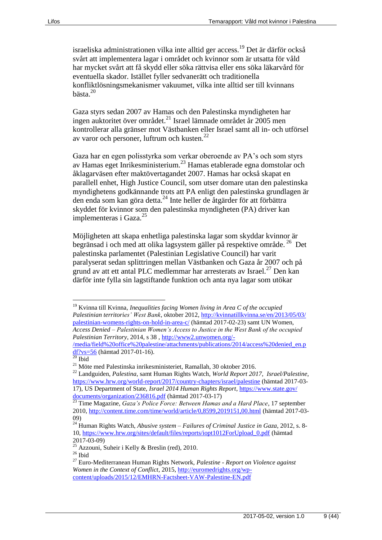israeliska administrationen vilka inte alltid ger access.<sup>19</sup> Det är därför också svårt att implementera lagar i området och kvinnor som är utsatta för våld har mycket svårt att få skydd eller söka rättvisa eller ens söka läkarvård för eventuella skador. Istället fyller sedvanerätt och traditionella konfliktlösningsmekanismer vakuumet, vilka inte alltid ser till kvinnans bästa.<sup>20</sup>

Gaza styrs sedan 2007 av Hamas och den Palestinska myndigheten har ingen auktoritet över området.<sup>21</sup> Israel lämnade området år  $2005$  men kontrollerar alla gränser mot Västbanken eller Israel samt all in- och utförsel av varor och personer, luftrum och kusten. $^{22}$ 

Gaza har en egen polisstyrka som verkar oberoende av PA's och som styrs av Hamas eget Inrikesministerium.<sup>23</sup> Hamas etablerade egna domstolar och åklagarväsen efter maktövertagandet 2007. Hamas har också skapat en parallell enhet, High Justice Council, som utser domare utan den palestinska myndighetens godkännande trots att PA enligt den palestinska grundlagen är den enda som kan göra detta.<sup>24</sup> Inte heller de åtgärder för att förbättra skyddet för kvinnor som den palestinska myndigheten (PA) driver kan implementeras i Gaza.<sup>25</sup>

Möjligheten att skapa enhetliga palestinska lagar som skyddar kvinnor är begränsad i och med att olika lagsystem gäller på respektive område. 26 Det palestinska parlamentet (Palestinian Legislative Council) har varit paralyserat sedan splittringen mellan Västbanken och Gaza år 2007 och på grund av att ett antal PLC medlemmar har arresterats av Israel.<sup>27</sup> Den kan därför inte fylla sin lagstiftande funktion och anta nya lagar som utökar

<sup>19</sup> Kvinna till Kvinna, *Inequalities facing Women living in Area C of the occupied Palestinian territories' West Bank*, oktober 2012, [http://kvinnatillkvinna.se/en/2013/05/03/](http://kvinnatillkvinna.se/en/2013/05/03/%20palestinian-womens-rights-on-hold-in-area-c/)  [palestinian-womens-rights-on-hold-in-area-c/](http://kvinnatillkvinna.se/en/2013/05/03/%20palestinian-womens-rights-on-hold-in-area-c/) (hämtad 2017-02-23) samt UN Women, *Access Denied – Palestinian Women's Access to Justice in the West Bank of the occupied Palestinian Territory*, 2014, s 38 , [http://www2.unwomen.org/-](http://www2.unwomen.org/-/media/field%20office%20palestine/attachments/publications/2014/access%20denied_en.pdf?vs=56)

[<sup>/</sup>media/field%20office%20palestine/attachments/publications/2014/access%20denied\\_en.p](http://www2.unwomen.org/-/media/field%20office%20palestine/attachments/publications/2014/access%20denied_en.pdf?vs=56) [df?vs=56](http://www2.unwomen.org/-/media/field%20office%20palestine/attachments/publications/2014/access%20denied_en.pdf?vs=56) (hämtad 2017-01-16).

 $20$  Ibid

 $^{21}$  Möte med Palestinska inrikesministeriet, Ramallah, 30 oktober 2016.

<sup>22</sup> Landguiden, *Palestina*, samt Human Rights Watch, *World Report 2017*, *Israel/Palestine*, <https://www.hrw.org/world-report/2017/country-chapters/israel/palestine> (hämtad 2017-03- 17), US Department of State, *Israel 2014 Human Rights Report*, [https://www.state.gov/](https://www.state.gov/%20documents/organization/236816.pdf)  [documents/organization/236816.pdf](https://www.state.gov/%20documents/organization/236816.pdf) (hämtad 2017-03-17)

<sup>23</sup> Time Magazine, *Gaza's Police Force: Between Hamas and a Hard Place*, 17 september 2010[, http://content.time.com/time/world/article/0,8599,2019151,00.html](http://content.time.com/time/world/article/0,8599,2019151,00.html) (hämtad 2017-03- 09)

<sup>24</sup> Human Rights Watch, *Abusive system – Failures of Criminal Justice in Gaza*, 2012, s. 8- 10, [https://www.hrw.org/sites/default/files/reports/iopt1012ForUpload\\_0.pdf](https://www.hrw.org/sites/default/files/reports/iopt1012ForUpload_0.pdf) (hämtad 2017-03-09)

<sup>25</sup> Azzouni, Suheir i Kelly & Breslin (red), 2010.

 $26$  Ibid

<sup>27</sup> Euro-Mediterranean Human Rights Network, *Palestine - Report on Violence against Women in the Context of Conflict*, 2015, [http://euromedrights.org/wp](http://euromedrights.org/wp-content/uploads/2015/12/EMHRN-Factsheet-VAW-Palestine-EN.pdf)[content/uploads/2015/12/EMHRN-Factsheet-VAW-Palestine-EN.pdf](http://euromedrights.org/wp-content/uploads/2015/12/EMHRN-Factsheet-VAW-Palestine-EN.pdf)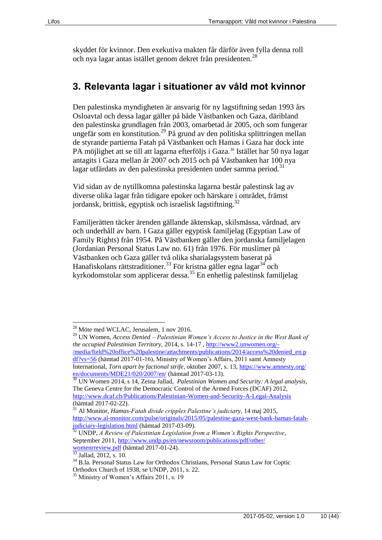skyddet för kvinnor. Den exekutiva makten får därför även fylla denna roll och nya lagar antas istället genom dekret från presidenten.<sup>28</sup>

# <span id="page-9-0"></span>**3. Relevanta lagar i situationer av våld mot kvinnor**

Den palestinska myndigheten är ansvarig för ny lagstiftning sedan 1993 års Osloavtal och dessa lagar gäller på både Västbanken och Gaza, däribland den palestinska grundlagen från 2003, omarbetad år 2005, och som fungerar ungefär som en konstitution.<sup>29</sup> På grund av den politiska splittringen mellan de styrande partierna Fatah på Västbanken och Hamas i Gaza har dock inte PA möjlighet att se till att lagarna efterföljs i Gaza.<sup>30</sup> Istället har 50 nya lagar antagits i Gaza mellan år 2007 och 2015 och på Västbanken har 100 nya lagar utfärdats av den palestinska presidenten under samma period.<sup>31</sup>

Vid sidan av de nytillkomna palestinska lagarna består palestinsk lag av diverse olika lagar från tidigare epoker och härskare i området, främst jordansk, brittisk, egyptisk och israelisk lagstiftning.<sup>32</sup>

Familjerätten täcker ärenden gällande äktenskap, skilsmässa, vårdnad, arv och underhåll av barn. I Gaza gäller egyptisk familjelag (Egyptian Law of Family Rights) från 1954. På Västbanken gäller den jordanska familjelagen (Jordanian Personal Status Law no. 61) från 1976. För muslimer på Västbanken och Gaza gäller två olika sharialagsystem baserat på Hanafiskolans rättstraditioner.<sup>33</sup> För kristna gäller egna lagar<sup>34</sup> och kyrkodomstolar som applicerar dessa.<sup>35</sup> En enhetlig palestinsk familjelag

<sup>33</sup> Jallad, 2012, s. 10.

<sup>28</sup> Möte med WCLAC, Jerusalem, 1 nov 2016.

<sup>29</sup> UN Women, *Access Denied – Palestinian Women's Access to Justice in the West Bank of the occupied Palestinian Territory*, 2014, s. 14-17 , [http://www2.unwomen.org/-](http://www2.unwomen.org/-/media/field%20office%20palestine/attachments/publications/2014/access%20denied_en.pdf?vs=56) [/media/field%20office%20palestine/attachments/publications/2014/access%20denied\\_en.p](http://www2.unwomen.org/-/media/field%20office%20palestine/attachments/publications/2014/access%20denied_en.pdf?vs=56) [df?vs=56](http://www2.unwomen.org/-/media/field%20office%20palestine/attachments/publications/2014/access%20denied_en.pdf?vs=56) (hämtad 2017-01-16), Ministry of Women's Affairs, 2011 samt Amnesty International, *Torn apart by factional strife*, oktober 2007, s. 13, [https://www.amnesty.org/](https://www.amnesty.org/%20en/documents/MDE21/020/2007/en/)  [en/documents/MDE21/020/2007/en/](https://www.amnesty.org/%20en/documents/MDE21/020/2007/en/) (hämtad 2017-03-13).

<sup>30</sup> UN Women 2014, s 14, Zeina Jallad, *Palestinian Women and Security: A legal analysis*, The Geneva Centre for the Democratic Control of the Armed Forces (DCAF) 2012, <http://www.dcaf.ch/Publications/Palestinian-Women-and-Security-A-Legal-Analysis> (hämtad 2017-02-22).

<sup>31</sup> Al Monitor, *Hamas-Fatah divide cripples Palestine's judiciary*, 14 maj 2015, [http://www.al-monitor.com/pulse/originals/2015/05/palestine-gaza-west-bank-hamas-fatah](http://www.al-monitor.com/pulse/originals/2015/05/palestine-gaza-west-bank-hamas-fatah-judiciary-legislation.html)[judiciary-legislation.html](http://www.al-monitor.com/pulse/originals/2015/05/palestine-gaza-west-bank-hamas-fatah-judiciary-legislation.html) (hämtad 2017-03-09).

<sup>32</sup> UNDP, *A Review of Palestinian Legislation from a Women's Rights Perspective*, September 2011[, http://www.undp.ps/en/newsroom/publications/pdf/other/](http://www.undp.ps/en/newsroom/publications/pdf/other/%20womenrreview.pdf)  [womenrreview.pdf](http://www.undp.ps/en/newsroom/publications/pdf/other/%20womenrreview.pdf) (hämtad 2017-01-24).

<sup>34</sup> B.la. Personal Status Law for Orthodox Christians, Personal Status Law for Coptic Orthodox Church of 1938, se UNDP, 2011, s. 22.

<sup>&</sup>lt;sup>35</sup> Ministry of Women's Affairs 2011, s. 19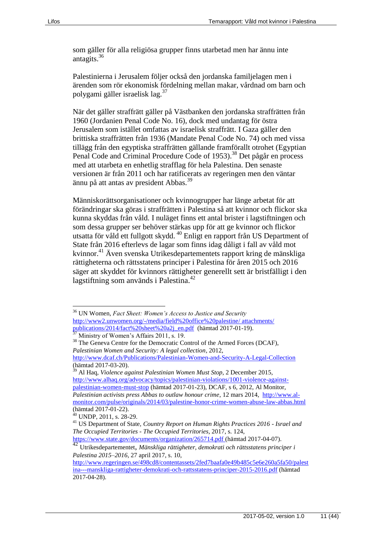som gäller för alla religiösa grupper finns utarbetad men har ännu inte antagits.<sup>36</sup>

Palestinierna i Jerusalem följer också den jordanska familjelagen men i ärenden som rör ekonomisk fördelning mellan makar, vårdnad om barn och polygami gäller israelisk lag.<sup>37</sup>

När det gäller straffrätt gäller på Västbanken den jordanska straffrätten från 1960 (Jordanien Penal Code No. 16), dock med undantag för östra Jerusalem som istället omfattas av israelisk straffrätt. I Gaza gäller den brittiska straffrätten från 1936 (Mandate Penal Code No. 74) och med vissa tillägg från den egyptiska straffrätten gällande framförallt otrohet (Egyptian Penal Code and Criminal Procedure Code of 1953).<sup>38</sup> Det pågår en process med att utarbeta en enhetlig strafflag för hela Palestina. Den senaste versionen är från 2011 och har ratificerats av regeringen men den väntar ännu på att antas av president Abbas.<sup>39</sup>

Människorättsorganisationer och kvinnogrupper har länge arbetat för att förändringar ska göras i straffrätten i Palestina så att kvinnor och flickor ska kunna skyddas från våld. I nuläget finns ett antal brister i lagstiftningen och som dessa grupper ser behöver stärkas upp för att ge kvinnor och flickor utsatta för våld ett fullgott skydd. <sup>40</sup> Enligt en rapport från US Department of State från 2016 efterlevs de lagar som finns idag dåligt i fall av våld mot kvinnor.<sup>41</sup> Även svenska Utrikesdepartementets rapport kring de mänskliga rättigheterna och rättsstatens principer i Palestina för åren 2015 och 2016 säger att skyddet för kvinnors rättigheter generellt sett är bristfälligt i den lagstiftning som används i Palestina.<sup>42</sup>

<sup>36</sup> UN Women, *Fact Sheet: Women's Access to Justice and Security* [http://www2.unwomen.org/-/media/field%20office%20palestine/ attachments/](http://www2.unwomen.org/-/media/field%20office%20palestine/%20attachments/%20publications/2014/fact%20sheet%20a2j_en.pdf)  [publications/2014/fact%20sheet%20a2j\\_en.pdf](http://www2.unwomen.org/-/media/field%20office%20palestine/%20attachments/%20publications/2014/fact%20sheet%20a2j_en.pdf) (hämtad 2017-01-19). Ministry of Women's Affairs 2011, s. 19.

<sup>&</sup>lt;sup>38</sup> The Geneva Centre for the Democratic Control of the Armed Forces (DCAF), *Palestinian Women and Security: A legal collection*, 2012,

<http://www.dcaf.ch/Publications/Palestinian-Women-and-Security-A-Legal-Collection> (hämtad 2017-03-20).

<sup>39</sup> Al Haq, *Violence against Palestinian Women Must Stop*, 2 December 2015, [http://www.alhaq.org/advocacy/topics/palestinian-violations/1001-violence-against](http://www.alhaq.org/advocacy/topics/palestinian-violations/1001-violence-against-palestinian-women-must-stop)[palestinian-women-must-stop](http://www.alhaq.org/advocacy/topics/palestinian-violations/1001-violence-against-palestinian-women-must-stop) (hämtad 2017-01-23), DCAF, s 6, 2012, Al Monitor, *Palestinian activists press Abbas to outlaw honour crime*, 12 mars 2014, [http://www.al](http://www.al-monitor.com/pulse/originals/2014/03/palestine-honor-crime-women-abuse-law-abbas.html)[monitor.com/pulse/originals/2014/03/palestine-honor-crime-women-abuse-law-abbas.html](http://www.al-monitor.com/pulse/originals/2014/03/palestine-honor-crime-women-abuse-law-abbas.html) (hämtad 2017-01-22).

 $40$  UNDP, 2011, s. 28-29.

<sup>41</sup> US Department of State, *Country Report on Human Rights Practices 2016 - Israel and The Occupied Territories - The Occupied Territories*, 2017, s. 124, <https://www.state.gov/documents/organization/265714.pdf> (hämtad 2017-04-07).

<sup>42</sup> Utrikesdepartementet, *Mänskliga rättigheter, demokrati och rättsstatens principer i Palestina 2015–2016*, 27 april 2017, s. 10,

[http://www.regeringen.se/498cd8/contentassets/2fed7baafa0e49b485c5e6e260a5fa50/palest](http://www.regeringen.se/498cd8/contentassets/2fed7baafa0e49b485c5e6e260a5fa50/palestina---manskliga-rattigheter-demokrati-och-rattsstatens-principer-2015-2016.pdf) [ina---manskliga-rattigheter-demokrati-och-rattsstatens-principer-2015-2016.pdf](http://www.regeringen.se/498cd8/contentassets/2fed7baafa0e49b485c5e6e260a5fa50/palestina---manskliga-rattigheter-demokrati-och-rattsstatens-principer-2015-2016.pdf) (hämtad 2017-04-28).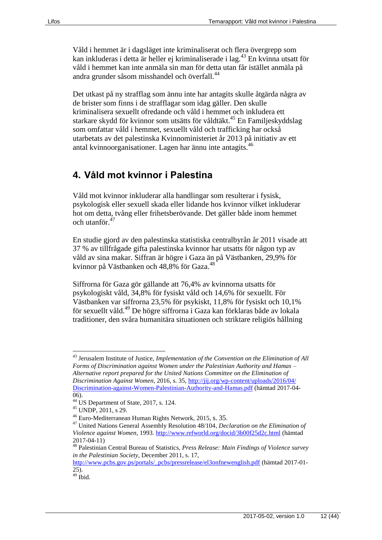Våld i hemmet är i dagsläget inte kriminaliserat och flera övergrepp som kan inkluderas i detta är heller ej kriminaliserade i lag.<sup>43</sup> En kvinna utsatt för våld i hemmet kan inte anmäla sin man för detta utan får istället anmäla på andra grunder såsom misshandel och överfall.<sup>44</sup>

Det utkast på ny strafflag som ännu inte har antagits skulle åtgärda några av de brister som finns i de strafflagar som idag gäller. Den skulle kriminalisera sexuellt ofredande och våld i hemmet och inkludera ett starkare skydd för kvinnor som utsätts för våldtäkt.<sup>45</sup> En Familjeskyddslag som omfattar våld i hemmet, sexuellt våld och trafficking har också utarbetats av det palestinska Kvinnoministeriet år 2013 på initiativ av ett antal kvinnoorganisationer. Lagen har ännu inte antagits.<sup>46</sup>

# <span id="page-11-0"></span>**4. Våld mot kvinnor i Palestina**

Våld mot kvinnor inkluderar alla handlingar som resulterar i fysisk, psykologisk eller sexuell skada eller lidande hos kvinnor vilket inkluderar hot om detta, tvång eller frihetsberövande. Det gäller både inom hemmet och utanför. $47$ 

En studie gjord av den palestinska statistiska centralbyrån år 2011 visade att 37 % av tillfrågade gifta palestinska kvinnor har utsatts för någon typ av våld av sina makar. Siffran är högre i Gaza än på Västbanken, 29,9% för kvinnor på Västbanken och 48,8% för Gaza.<sup>48</sup>

Siffrorna för Gaza gör gällande att 76,4% av kvinnorna utsatts för psykologiskt våld, 34,8% för fysiskt våld och 14,6% för sexuellt. För Västbanken var siffrorna 23,5% för psykiskt, 11,8% för fysiskt och 10,1% för sexuellt våld.<sup>49</sup> De högre siffrorna i Gaza kan förklaras både av lokala traditioner, den svåra humanitära situationen och striktare religiös hållning

<sup>43</sup> Jerusalem Institute of Justice, *Implementation of the Convention on the Elimination of All Forms of Discrimination against Women under the Palestinian Authority and Hamas – Alternative report prepared for the United Nations Committee on the Elimination of Discrimination Against Women*, 2016, s. 35, [http://jij.org/wp-content/uploads/2016/04/](http://jij.org/wp-content/uploads/2016/04/%20Discrimination-against-Women-Palestinian-Authority-and-Hamas.pdf)  [Discrimination-against-Women-Palestinian-Authority-and-Hamas.pdf](http://jij.org/wp-content/uploads/2016/04/%20Discrimination-against-Women-Palestinian-Authority-and-Hamas.pdf) (hämtad 2017-04- 06).

<sup>&</sup>lt;sup>44</sup> US Department of State, 2017, s. 124.

<sup>45</sup> UNDP, 2011, s 29.

<sup>46</sup> Euro-Mediterranean Human Rights Network, 2015, s. 35.

<sup>47</sup> United Nations General Assembly Resolution 48/104, *[Declaration on the Elimination of](http://www.un.org/documents/ga/res/48/a48r104.htm)  [Violence against Women](http://www.un.org/documents/ga/res/48/a48r104.htm)*, 1993. <http://www.refworld.org/docid/3b00f25d2c.html> (hämtad 2017-04-11)

<sup>48</sup> Palestinian Central Bureau of Statistics, *Press Release: Main Findings of Violence survey in the Palestinian Society*, December 2011, s. 17,

[http://www.pcbs.gov.ps/portals/\\_pcbs/pressrelease/el3onfnewenglish.pdf](http://www.pcbs.gov.ps/portals/_pcbs/pressrelease/el3onfnewenglish.pdf) (hämtad 2017-01- 25).  $49$  Ibid.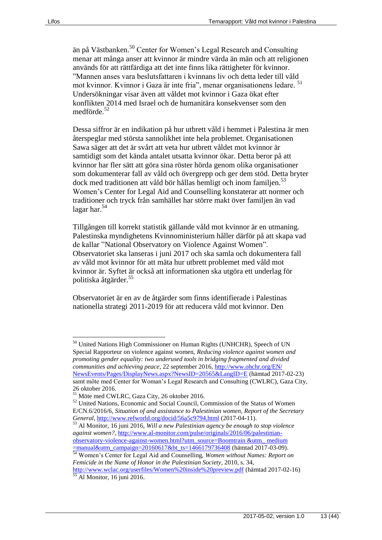än på Västbanken. <sup>50</sup> Center for Women's Legal Research and Consulting menar att många anser att kvinnor är mindre värda än män och att religionen används för att rättfärdiga att det inte finns lika rättigheter för kvinnor. "Mannen anses vara beslutsfattaren i kvinnans liv och detta leder till våld mot kvinnor. Kvinnor i Gaza är inte fria", menar organisationens ledare. <sup>51</sup> Undersökningar visar även att våldet mot kvinnor i Gaza ökat efter konflikten 2014 med Israel och de humanitära konsekvenser som den medförde. 52

Dessa siffror är en indikation på hur utbrett våld i hemmet i Palestina är men återspeglar med största sannolikhet inte hela problemet. Organisationen Sawa säger att det är svårt att veta hur utbrett våldet mot kvinnor är samtidigt som det kända antalet utsatta kvinnor ökar. Detta beror på att kvinnor har fler sätt att göra sina röster hörda genom olika organisationer som dokumenterar fall av våld och övergrepp och ger dem stöd. Detta bryter dock med traditionen att våld bör hållas hemligt och inom familjen.<sup>53</sup> Women's Center for Legal Aid and Counselling konstaterar att normer och traditioner och tryck från samhället har större makt över familjen än vad lagar har. $54$ 

Tillgången till korrekt statistik gällande våld mot kvinnor är en utmaning. Palestinska myndighetens Kvinnoministerium håller därför på att skapa vad de kallar "National Observatory on Violence Against Women". Observatoriet ska lanseras i juni 2017 och ska samla och dokumentera fall av våld mot kvinnor för att mäta hur utbrett problemet med våld mot kvinnor är. Syftet är också att informationen ska utgöra ett underlag för politiska åtgärder.<sup>55</sup>

Observatoriet är en av de åtgärder som finns identifierade i Palestinas nationella strategi 2011-2019 för att reducera våld mot kvinnor. Den

<sup>&</sup>lt;sup>50</sup> United Nations High Commissioner on Human Rights (UNHCHR), Speech of UN Special Rapporteur on violence against women, *Reducing violence against women and promoting gender equality: two underused tools in bridging fragmented and divided communities and achieving peace*, 22 september 2016[, http://www.ohchr.org/EN/](http://www.ohchr.org/EN/%20NewsEvents/Pages/DisplayNews.aspx?NewsID=20565&LangID=E)  [NewsEvents/Pages/DisplayNews.aspx?NewsID=20565&LangID=E](http://www.ohchr.org/EN/%20NewsEvents/Pages/DisplayNews.aspx?NewsID=20565&LangID=E) (hämtad 2017-02-23) samt möte med Center for Woman's Legal Research and Consulting (CWLRC), Gaza City, 26 oktober 2016.

<sup>51</sup> Möte med CWLRC, Gaza City, 26 oktober 2016.

<sup>52</sup> United Nations, Economic and Social Council, Commission of the Status of Women E/CN.6/2016/6, *Situation of and assistance to Palestinian women, Report of the Secretary General*,<http://www.refworld.org/docid/56a5c9794.html> (2017-04-11).

<sup>53</sup> Al Monitor, 16 juni 2016, *Will a new Palestinian agency be enough to stop violence against women?*[, http://www.al-monitor.com/pulse/originals/2016/06/palestinian](http://www.al-monitor.com/pulse/originals/2016/06/palestinian-observatory-violence-against-women.html?utm_source=Boomtrain)[observatory-violence-against-women.html?utm\\_source=Boomtrain &utm\\_ medium](http://www.al-monitor.com/pulse/originals/2016/06/palestinian-observatory-violence-against-women.html?utm_source=Boomtrain)  [=manual&utm\\_campaign=20160617&bt\\_ts=1466179736408](http://www.al-monitor.com/pulse/originals/2016/06/palestinian-observatory-violence-against-women.html?utm_source=Boomtrain) (hämtad 2017-03-09).

<sup>54</sup> Women's Center for Legal Aid and Counselling, *Women without Names: Report on Femicide in the Name of Honor in the Palestinian Society*, 2010, s. 34, <http://www.wclac.org/userfiles/Women%20inside%20preview.pdf> (hämtad 2017-02-16)

<sup>55</sup> Al Monitor, 16 juni 2016.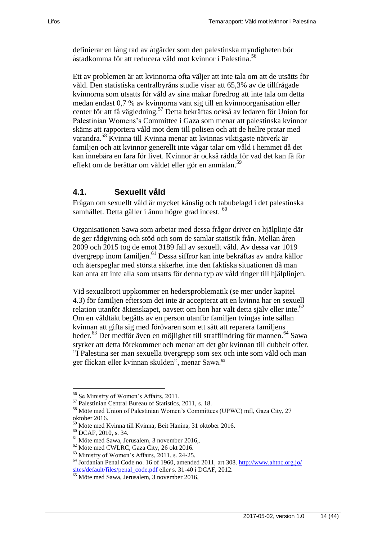definierar en lång rad av åtgärder som den palestinska myndigheten bör åstadkomma för att reducera våld mot kvinnor i Palestina.<sup>56</sup>

Ett av problemen är att kvinnorna ofta väljer att inte tala om att de utsätts för våld. Den statistiska centralbyråns studie visar att 65,3% av de tillfrågade kvinnorna som utsatts för våld av sina makar föredrog att inte tala om detta medan endast 0,7 % av kvinnorna vänt sig till en kvinnoorganisation eller center för att få vägledning.<sup>57</sup> Detta bekräftas också av ledaren för Union for Palestinian Womens's Committee i Gaza som menar att palestinska kvinnor skäms att rapportera våld mot dem till polisen och att de hellre pratar med varandra.<sup>58</sup> Kvinna till Kvinna menar att kvinnas viktigaste nätverk är familjen och att kvinnor generellt inte vågar talar om våld i hemmet då det kan innebära en fara för livet. Kvinnor är också rädda för vad det kan få för effekt om de berättar om våldet eller gör en anmälan. 59

#### <span id="page-13-0"></span>**4.1. Sexuellt våld**

Frågan om sexuellt våld är mycket känslig och tabubelagd i det palestinska samhället. Detta gäller i ännu högre grad incest.  $60$ 

Organisationen Sawa som arbetar med dessa frågor driver en hjälplinje där de ger rådgivning och stöd och som de samlar statistik från. Mellan åren 2009 och 2015 tog de emot 3189 fall av sexuellt våld. Av dessa var 1019 övergrepp inom familjen.<sup>61</sup> Dessa siffror kan inte bekräftas av andra källor och återspeglar med största säkerhet inte den faktiska situationen då man kan anta att inte alla som utsatts för denna typ av våld ringer till hjälplinjen.

Vid sexualbrott uppkommer en hedersproblematik (se mer under kapitel 4.3) för familjen eftersom det inte är accepterat att en kvinna har en sexuell relation utanför äktenskapet, oavsett om hon har valt detta själv eller inte.<sup>62</sup> Om en våldtäkt begåtts av en person utanför familjen tvingas inte sällan kvinnan att gifta sig med förövaren som ett sätt att reparera familjens heder.<sup>63</sup> Det medför även en möjlighet till strafflindring för mannen.<sup>64</sup> Sawa styrker att detta förekommer och menar att det gör kvinnan till dubbelt offer. "I Palestina ser man sexuella övergrepp som sex och inte som våld och man ger flickan eller kvinnan skulden", menar Sawa.<sup>65</sup>

<sup>56</sup> Se Ministry of Women's Affairs, 2011.

<sup>57</sup> Palestinian Central Bureau of Statistics, 2011, s. 18.

<sup>58</sup> Möte med Union of Palestinian Women's Committees (UPWC) mfl, Gaza City, 27 oktober 2016.

<sup>59</sup> Möte med Kvinna till Kvinna, Beit Hanina, 31 oktober 2016.

<sup>60</sup> DCAF, 2010, s. 34.

<sup>61</sup> Möte med Sawa, Jerusalem, 3 november 2016,.

<sup>62</sup> Möte med CWLRC, Gaza City, 26 okt 2016.

<sup>63</sup> Ministry of Women's Affairs, 2011, s. 24-25.

 $64$  Jordanian Penal Code no. 16 of 1960, amended 2011, art 308. http://www.ahtnc.org.jo/ [sites/default/files/penal\\_code.pdf](http://www.ahtnc.org.jo/%20sites/default/files/penal_code.pdf) eller s. 31-40 i DCAF, 2012.

<sup>&</sup>lt;sup>65</sup> Möte med Sawa, Jerusalem, 3 november 2016,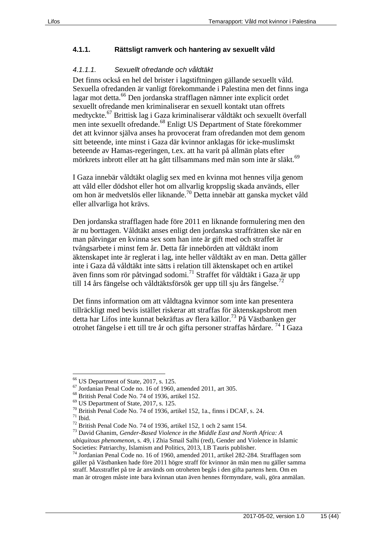#### <span id="page-14-0"></span>**4.1.1. Rättsligt ramverk och hantering av sexuellt våld**

#### *4.1.1.1. Sexuellt ofredande och våldtäkt*

Det finns också en hel del brister i lagstiftningen gällande sexuellt våld. Sexuella ofredanden är vanligt förekommande i Palestina men det finns inga lagar mot detta.<sup>66</sup> Den jordanska strafflagen nämner inte explicit ordet sexuellt ofredande men kriminaliserar en sexuell kontakt utan offrets medtyckte.<sup>67</sup> Brittisk lag i Gaza kriminaliserar våldtäkt och sexuellt överfall men inte sexuellt ofredande.<sup>68</sup> Enligt US Department of State förekommer det att kvinnor själva anses ha provocerat fram ofredanden mot dem genom sitt beteende, inte minst i Gaza där kvinnor anklagas för icke-muslimskt beteende av Hamas-regeringen, t.ex. att ha varit på allmän plats efter mörkrets inbrott eller att ha gått tillsammans med män som inte är släkt.<sup>69</sup>

I Gaza innebär våldtäkt olaglig sex med en kvinna mot hennes vilja genom att våld eller dödshot eller hot om allvarlig kroppslig skada används, eller om hon är medvetslös eller liknande.<sup>70</sup> Detta innebär att ganska mycket våld eller allvarliga hot krävs.

Den jordanska strafflagen hade före 2011 en liknande formulering men den är nu borttagen. Våldtäkt anses enligt den jordanska straffrätten ske när en man påtvingar en kvinna sex som han inte är gift med och straffet är tvångsarbete i minst fem år. Detta får innebörden att våldtäkt inom äktenskapet inte är reglerat i lag, inte heller våldtäkt av en man. Detta gäller inte i Gaza då våldtäkt inte sätts i relation till äktenskapet och en artikel även finns som rör påtvingad sodomi.<sup>71</sup> Straffet för våldtäkt i Gaza är upp till 14 års fängelse och våldtäktsförsök ger upp till sju års fängelse.<sup>72</sup>

Det finns information om att våldtagna kvinnor som inte kan presentera tillräckligt med bevis istället riskerar att straffas för äktenskapsbrott men detta har Lifos inte kunnat bekräftas av flera källor. <sup>73</sup> På Västbanken ger otrohet fängelse i ett till tre år och gifta personer straffas hårdare. <sup>74</sup> I Gaza

<sup>66</sup> US Department of State, 2017, s. 125.

<sup>67</sup> Jordanian Penal Code no. 16 of 1960, amended 2011, art 305.

<sup>68</sup> British Penal Code No. 74 of 1936, artikel 152.

<sup>69</sup> US Department of State, 2017, s. 125.

 $70$  British Penal Code No. 74 of 1936, artikel 152, 1a., finns i DCAF, s. 24.

 $71$  Ibid.

<sup>72</sup> British Penal Code No. 74 of 1936, artikel 152, 1 och 2 samt 154.

<sup>73</sup> David Ghanim, *Gender-Based Violence in the Middle East and North Africa: A ubiquitous phenomenon*, s. 49, i Zhia Smail Salhi (red), Gender and Violence in Islamic Societies: Patriarchy, Islamism and Politics, 2013, I.B Tauris publisher.

<sup>74</sup> Jordanian Penal Code no. 16 of 1960, amended 2011, artikel 282-284. Strafflagen som gäller på Västbanken hade före 2011 högre straff för kvinnor än män men nu gäller samma straff. Maxstraffet på tre år används om otroheten begås i den gifta partens hem. Om en man är otrogen måste inte bara kvinnan utan även hennes förmyndare, wali, göra anmälan.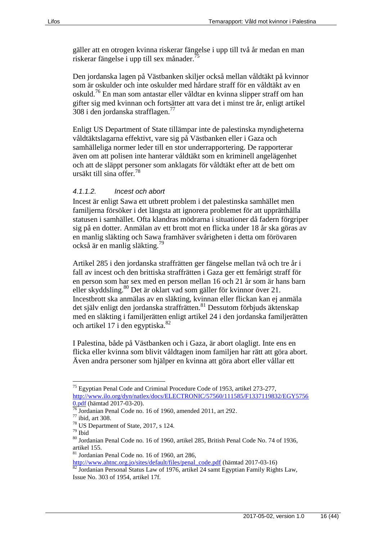gäller att en otrogen kvinna riskerar fängelse i upp till två år medan en man riskerar fängelse i upp till sex månader.<sup>7</sup>

Den jordanska lagen på Västbanken skiljer också mellan våldtäkt på kvinnor som är oskulder och inte oskulder med hårdare straff för en våldtäkt av en oskuld.<sup>76</sup> En man som antastar eller våldtar en kvinna slipper straff om han gifter sig med kvinnan och fortsätter att vara det i minst tre år, enligt artikel 308 i den jordanska strafflagen.<sup>77</sup>

Enligt US Department of State tillämpar inte de palestinska myndigheterna våldtäktslagarna effektivt, vare sig på Västbanken eller i Gaza och samhälleliga normer leder till en stor underrapportering. De rapporterar även om att polisen inte hanterar våldtäkt som en kriminell angelägenhet och att de släppt personer som anklagats för våldtäkt efter att de bett om ursäkt till sina offer.<sup>78</sup>

#### *4.1.1.2. Incest och abort*

Incest är enligt Sawa ett utbrett problem i det palestinska samhället men familjerna försöker i det längsta att ignorera problemet för att upprätthålla statusen i samhället. Ofta klandras mödrarna i situationer då fadern förgriper sig på en dotter. Anmälan av ett brott mot en flicka under 18 år ska göras av en manlig släkting och Sawa framhäver svårigheten i detta om förövaren också är en manlig släkting.<sup>79</sup>

Artikel 285 i den jordanska straffrätten ger fängelse mellan två och tre år i fall av incest och den brittiska straffrätten i Gaza ger ett femårigt straff för en person som har sex med en person mellan 16 och 21 år som är hans barn eller skyddsling.<sup>80</sup> Det är oklart vad som gäller för kvinnor över 21. Incestbrott ska anmälas av en släkting, kvinnan eller flickan kan ej anmäla det själv enligt den jordanska straffrätten.<sup>81</sup> Dessutom förbjuds äktenskap med en släkting i familjerätten enligt artikel 24 i den jordanska familjerätten och artikel 17 i den egyptiska.<sup>82</sup>

I Palestina, både på Västbanken och i Gaza, är abort olagligt. Inte ens en flicka eller kvinna som blivit våldtagen inom familjen har rätt att göra abort. Även andra personer som hjälper en kvinna att göra abort eller vållar ett

<sup>&</sup>lt;sup>75</sup> Egyptian Penal Code and Criminal Procedure Code of 1953, artikel 273-277, [http://www.ilo.org/dyn/natlex/docs/ELECTRONIC/57560/111585/F1337119832/EGY5756](http://www.ilo.org/dyn/natlex/docs/ELECTRONIC/57560/111585/F1337119832/EGY57560.pdf) [0.pdf](http://www.ilo.org/dyn/natlex/docs/ELECTRONIC/57560/111585/F1337119832/EGY57560.pdf) (hämtad 2017-03-20).

 $\frac{76}{76}$  Jordanian Penal Code no. 16 of 1960, amended 2011, art 292.

<sup>77</sup> ibid, art 308.

<sup>78</sup> US Department of State, 2017, s 124.

<sup>79</sup> Ibid

<sup>80</sup> Jordanian Penal Code no. 16 of 1960, artikel 285, British Penal Code No. 74 of 1936, artikel 155.

<sup>81</sup> Jordanian Penal Code no. 16 of 1960, art 286,

[http://www.ahtnc.org.jo/sites/default/files/penal\\_code.pdf](http://www.ahtnc.org.jo/sites/default/files/penal_code.pdf) (hämtad 2017-03-16)

<sup>82</sup> Jordanian Personal Status Law of 1976, artikel 24 samt Egyptian Family Rights Law, Issue No. 303 of 1954, artikel 17f.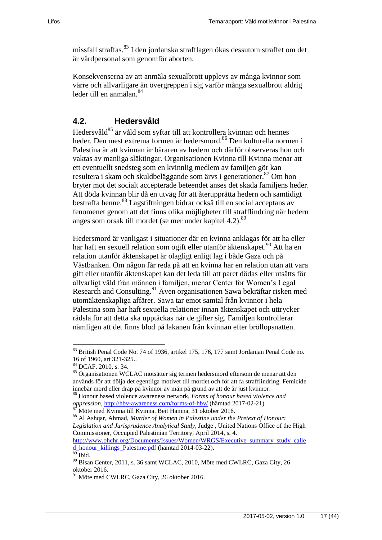missfall straffas.<sup>83</sup> I den jordanska strafflagen ökas dessutom straffet om det är vårdpersonal som genomför aborten.

Konsekvenserna av att anmäla sexualbrott upplevs av många kvinnor som värre och allvarligare än övergreppen i sig varför många sexualbrott aldrig leder till en anmälan.<sup>84</sup>

#### <span id="page-16-0"></span>**4.2. Hedersvåld**

Hedersvåld<sup>85</sup> är våld som syftar till att kontrollera kvinnan och hennes heder. Den mest extrema formen är hedersmord.<sup>86</sup> Den kulturella normen i Palestina är att kvinnan är bäraren av hedern och därför observeras hon och vaktas av manliga släktingar. Organisationen Kvinna till Kvinna menar att ett eventuellt snedsteg som en kvinnlig medlem av familjen gör kan resultera i skam och skuldbeläggande som ärvs i generationer.<sup>87</sup> Om hon bryter mot det socialt accepterade beteendet anses det skada familjens heder. Att döda kvinnan blir då en utväg för att återupprätta hedern och samtidigt bestraffa henne.<sup>88</sup> Lagstiftningen bidrar också till en social acceptans av fenomenet genom att det finns olika möjligheter till strafflindring när hedern anges som orsak till mordet (se mer under kapitel 4.2).<sup>89</sup>

Hedersmord är vanligast i situationer där en kvinna anklagas för att ha eller har haft en sexuell relation som ogift eller utanför äktenskapet.<sup>90</sup> Att ha en relation utanför äktenskapet är olagligt enligt lag i både Gaza och på Västbanken. Om någon får reda på att en kvinna har en relation utan att vara gift eller utanför äktenskapet kan det leda till att paret dödas eller utsätts för allvarligt våld från männen i familjen, menar Center for Women's Legal Research and Consulting.<sup>91</sup> Även organisationen Sawa bekräftar risken med utomäktenskapliga affärer. Sawa tar emot samtal från kvinnor i hela Palestina som har haft sexuella relationer innan äktenskapet och uttrycker rädsla för att detta ska upptäckas när de gifter sig. Familjen kontrollerar nämligen att det finns blod på lakanen från kvinnan efter bröllopsnatten.

<sup>83</sup> British Penal Code No. 74 of 1936, artikel 175, 176, 177 samt Jordanian Penal Code no. 16 of 1960, art 321-325..

<sup>84</sup> DCAF, 2010, s. 34.

<sup>85</sup> Organisationen WCLAC motsätter sig termen hedersmord eftersom de menar att den används för att dölja det egentliga motivet till mordet och för att få strafflindring. Femicide innebär mord eller dråp på kvinnor av män på grund av att de är just kvinnor.

<sup>86</sup> Honour based violence awareness network, *Forms of honour based violence and oppression*,<http://hbv-awareness.com/forms-of-hbv/> (hämtad 2017-02-21).

Möte med Kvinna till Kvinna, Beit Hanina, 31 oktober 2016.

<sup>88</sup> Al Ashqar, Ahmad, *Murder of Women in Palestine under the Pretext of Honour: Legislation and Jurisprudence Analytical Study*, Judge , United Nations Office of the High Commissioner, Occupied Palestinian Territory, April 2014, s. 4.

[http://www.ohchr.org/Documents/Issues/Women/WRGS/Executive\\_summary\\_study\\_calle](http://www.ohchr.org/Documents/Issues/Women/WRGS/Executive_summary_study_called_honour_killings_Palestine.pdf) [d\\_honour\\_killings\\_Palestine.pdf](http://www.ohchr.org/Documents/Issues/Women/WRGS/Executive_summary_study_called_honour_killings_Palestine.pdf) (hämtad 2014-03-22).

Ibid.

<sup>90</sup> Bisan Center, 2011, s. 36 samt WCLAC, 2010, Möte med CWLRC, Gaza City, 26 oktober 2016.

<sup>&</sup>lt;sup>91</sup> Möte med CWLRC, Gaza City, 26 oktober 2016.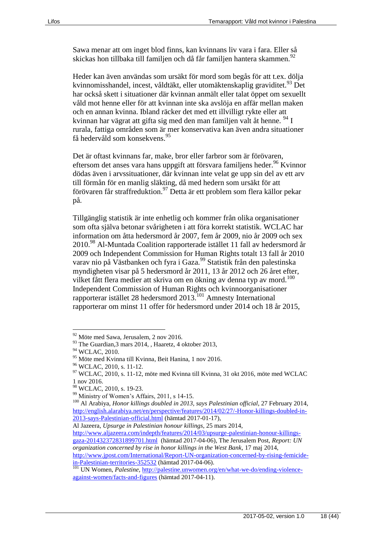Sawa menar att om inget blod finns, kan kvinnans liv vara i fara. Eller så skickas hon tillbaka till familjen och då får familjen hantera skammen.<sup>92</sup>

Heder kan även användas som ursäkt för mord som begås för att t.ex. dölja kvinnomisshandel, incest, våldtäkt, eller utomäktenskaplig graviditet.<sup>93</sup> Det har också skett i situationer där kvinnan anmält eller talat öppet om sexuellt våld mot henne eller för att kvinnan inte ska avslöja en affär mellan maken och en annan kvinna. Ibland räcker det med ett illvilligt rykte eller att kvinnan har vägrat att gifta sig med den man familjen valt åt henne. <sup>94</sup> I rurala, fattiga områden som är mer konservativa kan även andra situationer få hedervåld som konsekvens.<sup>95</sup>

Det är oftast kvinnans far, make, bror eller farbror som är förövaren, eftersom det anses vara hans uppgift att försvara familiens heder. <sup>96</sup> Kvinnor dödas även i arvssituationer, där kvinnan inte velat ge upp sin del av ett arv till förmån för en manlig släkting, då med hedern som ursäkt för att förövaren får straffreduktion.<sup>97</sup> Detta är ett problem som flera källor pekar på.

Tillgänglig statistik är inte enhetlig och kommer från olika organisationer som ofta själva betonar svårigheten i att föra korrekt statistik. WCLAC har information om åtta hedersmord år 2007, fem år 2009, nio år 2009 och sex 2010.<sup>98</sup> Al-Muntada Coalition rapporterade istället 11 fall av hedersmord år 2009 och Independent Commission for Human Rights totalt 13 fall år 2010 varav nio på Västbanken och fyra i Gaza.<sup>99</sup> Statistik från den palestinska myndigheten visar på 5 hedersmord år 2011, 13 år 2012 och 26 året efter, vilket fått flera medier att skriva om en ökning av denna typ av mord.<sup>100</sup> Independent Commission of Human Rights och kvinnoorganisationer rapporterar istället 28 hedersmord 2013.<sup>101</sup> Amnesty International rapporterar om minst 11 offer för hedersmord under 2014 och 18 år 2015,

 $\overline{a}$ 

[http://www.aljazeera.com/indepth/features/2014/03/upsurge-palestinian-honour-killings](http://www.aljazeera.com/indepth/features/2014/03/upsurge-palestinian-honour-killings-gaza-201432372831899701.html)[gaza-201432372831899701.html](http://www.aljazeera.com/indepth/features/2014/03/upsurge-palestinian-honour-killings-gaza-201432372831899701.html) (hämtad 2017-04-06), The Jerusalem Post, *Report: UN organization concerned by rise in honor killings in the West Bank,* 17 maj 2014,

[http://www.jpost.com/International/Report-UN-organization-concerned-by-rising-femicide](http://www.jpost.com/International/Report-UN-organization-concerned-by-rising-femicide-in-Palestinian-territories-352532)[in-Palestinian-territories-352532](http://www.jpost.com/International/Report-UN-organization-concerned-by-rising-femicide-in-Palestinian-territories-352532) (hämtad 2017-04-06).

<sup>92</sup> Möte med Sawa, Jerusalem, 2 nov 2016.

<sup>93</sup> The Guardian, 3 mars 2014, , Haaretz, 4 oktober 2013,

<sup>&</sup>lt;sup>94</sup> WCLAC, 2010.

<sup>95</sup> Möte med Kvinna till Kvinna, Beit Hanina, 1 nov 2016.

<sup>96</sup> WCLAC, 2010, s. 11-12.

 $97$  WCLAC, 2010, s. 11-12, möte med Kvinna till Kvinna, 31 okt 2016, möte med WCLAC 1 nov 2016.

<sup>98</sup> WCLAC, 2010, s. 19-23.

<sup>99</sup> Ministry of Women's Affairs, 2011, s 14-15.

<sup>100</sup> Al Arabiya, *Honor killings doubled in 2013, says Palestinian official*, 27 February 2014, [http://english.alarabiya.net/en/perspective/features/2014/02/27/-Honor-killings-doubled-in-](http://english.alarabiya.net/en/perspective/features/2014/02/27/-Honor-killings-doubled-in-2013-says-Palestinian-official.html)[2013-says-Palestinian-official.html](http://english.alarabiya.net/en/perspective/features/2014/02/27/-Honor-killings-doubled-in-2013-says-Palestinian-official.html) (hämtad 2017-01-17),

Al Jazeera, *Upsurge in Palestinian honour killings*, 25 mars 2014,

<sup>&</sup>lt;sup>101</sup> UN Women, *Palestine*, [http://palestine.unwomen.org/en/what-we-do/ending-violence](http://palestine.unwomen.org/en/what-we-do/ending-violence-against-women/facts-and-figures)[against-women/facts-and-figures](http://palestine.unwomen.org/en/what-we-do/ending-violence-against-women/facts-and-figures) (hämtad 2017-04-11).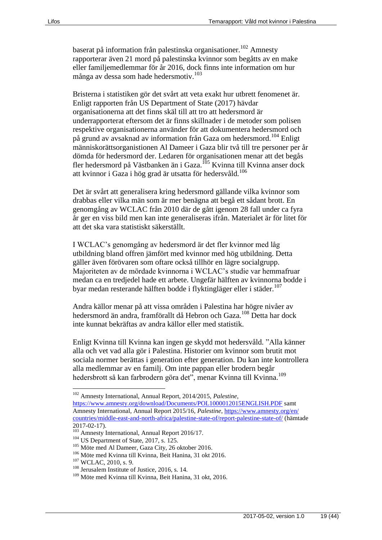baserat på information från palestinska organisationer.<sup>102</sup> Amnesty rapporterar även 21 mord på palestinska kvinnor som begåtts av en make eller familjemedlemmar för år 2016, dock finns inte information om hur många av dessa som hade hedersmotiv.<sup>103</sup>

Bristerna i statistiken gör det svårt att veta exakt hur utbrett fenomenet är. Enligt rapporten från US Department of State (2017) hävdar organisationerna att det finns skäl till att tro att hedersmord är underrapporterat eftersom det är finns skillnader i de metoder som polisen respektive organisationerna använder för att dokumentera hedersmord och på grund av avsaknad av information från Gaza om hedersmord.<sup>104</sup> Enligt människorättsorganistionen Al Dameer i Gaza blir två till tre personer per år dömda för hedersmord der. Ledaren för organisationen menar att det begås fler hedersmord på Västbanken än i Gaza.<sup>105</sup> Kvinna till Kvinna anser dock att kvinnor i Gaza i hög grad är utsatta för hedersvåld.<sup>106</sup>

Det är svårt att generalisera kring hedersmord gällande vilka kvinnor som drabbas eller vilka män som är mer benägna att begå ett sådant brott. En genomgång av WCLAC från 2010 där de gått igenom 28 fall under ca fyra år ger en viss bild men kan inte generaliseras ifrån. Materialet är för litet för att det ska vara statistiskt säkerställt.

I WCLAC's genomgång av hedersmord är det fler kvinnor med låg utbildning bland offren jämfört med kvinnor med hög utbildning. Detta gäller även förövaren som oftare också tillhör en lägre socialgrupp. Majoriteten av de mördade kvinnorna i WCLAC's studie var hemmafruar medan ca en tredjedel hade ett arbete. Ungefär hälften av kvinnorna bodde i byar medan resterande hälften bodde i flyktingläger eller i städer.<sup>107</sup>

Andra källor menar på att vissa områden i Palestina har högre nivåer av hedersmord än andra, framförallt då Hebron och Gaza.<sup>108</sup> Detta har dock inte kunnat bekräftas av andra källor eller med statistik.

Enligt Kvinna till Kvinna kan ingen ge skydd mot hedersvåld. "Alla känner alla och vet vad alla gör i Palestina. Historier om kvinnor som brutit mot sociala normer berättas i generation efter generation. Du kan inte kontrollera alla medlemmar av en familj. Om inte pappan eller brodern begår hedersbrott så kan farbrodern göra det", menar Kvinna till Kvinna.<sup>109</sup>

<sup>102</sup> Amnesty International, Annual Report, 2014/2015, *Palestine*,

<https://www.amnesty.org/download/Documents/POL1000012015ENGLISH.PDF> samt Amnesty International, Annual Report 2015/16, *Palestine*, [https://www.amnesty.org/en/](https://www.amnesty.org/en/%20countries/middle-east-and-north-africa/palestine-state-of/report-palestine-state-of/)  [countries/middle-east-and-north-africa/palestine-state-of/report-palestine-state-of/](https://www.amnesty.org/en/%20countries/middle-east-and-north-africa/palestine-state-of/report-palestine-state-of/) (hämtade 2017-02-17).

<sup>&</sup>lt;sup>103</sup> Amnesty International, Annual Report 2016/17.

<sup>&</sup>lt;sup>104</sup> US Department of State, 2017, s. 125.

<sup>105</sup> Möte med Al Dameer, Gaza City, 26 oktober 2016.

<sup>106</sup> Möte med Kvinna till Kvinna, Beit Hanina, 31 okt 2016.

<sup>107</sup> WCLAC, 2010, s. 9.

<sup>108</sup> Jerusalem Institute of Justice, 2016, s. 14.

<sup>109</sup> Möte med Kvinna till Kvinna, Beit Hanina, 31 okt, 2016.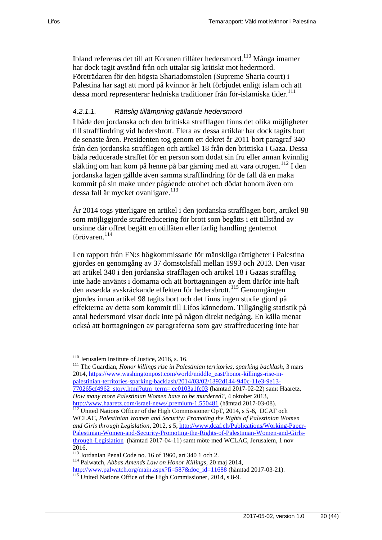Ibland refereras det till att Koranen tillåter hedersmord.<sup>110</sup> Många imamer har dock tagit avstånd från och uttalar sig kritiskt mot hedermord. Företrädaren för den högsta Shariadomstolen (Supreme Sharia court) i Palestina har sagt att mord på kvinnor är helt förbjudet enligt islam och att dessa mord representerar hedniska traditioner från för-islamiska tider.<sup>111</sup>

#### *4.2.1.1. Rättslig tillämpning gällande hedersmord*

I både den jordanska och den brittiska strafflagen finns det olika möjligheter till strafflindring vid hedersbrott. Flera av dessa artiklar har dock tagits bort de senaste åren. Presidenten tog genom ett dekret år 2011 bort paragraf 340 från den jordanska strafflagen och artikel 18 från den brittiska i Gaza. Dessa båda reducerade straffet för en person som dödat sin fru eller annan kvinnlig släkting om han kom på henne på bar gärning med att vara otrogen.<sup>112</sup> I den jordanska lagen gällde även samma strafflindring för de fall då en maka kommit på sin make under pågående otrohet och dödat honom även om dessa fall är mycket ovanligare.<sup>113</sup>

År 2014 togs ytterligare en artikel i den jordanska strafflagen bort, artikel 98 som möjliggjorde straffreducering för brott som begåtts i ett tillstånd av ursinne där offret begått en otillåten eller farlig handling gentemot förövaren.<sup>114</sup>

I en rapport från FN:s högkommissarie för mänskliga rättigheter i Palestina gjordes en genomgång av 37 domstolsfall mellan 1993 och 2013. Den visar att artikel 340 i den jordanska strafflagen och artikel 18 i Gazas strafflag inte hade använts i domarna och att borttagningen av dem därför inte haft den avsedda avskräckande effekten för hedersbrott.<sup>115</sup> Genomgången gjordes innan artikel 98 tagits bort och det finns ingen studie gjord på effekterna av detta som kommit till Lifos kännedom. Tillgänglig statistik på antal hedersmord visar dock inte på någon direkt nedgång. En källa menar också att borttagningen av paragraferna som gav straffreducering inte har

 $\overline{a}$ 

<sup>111</sup> The Guardian, *Honor killings rise in Palestinian territories, sparking backlash*, 3 mars 2014[, https://www.washingtonpost.com/world/middle\\_east/honor-killings-rise-in](https://www.washingtonpost.com/world/middle_east/honor-killings-rise-in-palestinian-territories-sparking-backlash/2014/03/02/1392d144-940c-11e3-9e13-770265cf4962_story.html?utm_term=.ce0103a1fc03)[palestinian-territories-sparking-backlash/2014/03/02/1392d144-940c-11e3-9e13-](https://www.washingtonpost.com/world/middle_east/honor-killings-rise-in-palestinian-territories-sparking-backlash/2014/03/02/1392d144-940c-11e3-9e13-770265cf4962_story.html?utm_term=.ce0103a1fc03) [770265cf4962\\_story.html?utm\\_term=.ce0103a1fc03](https://www.washingtonpost.com/world/middle_east/honor-killings-rise-in-palestinian-territories-sparking-backlash/2014/03/02/1392d144-940c-11e3-9e13-770265cf4962_story.html?utm_term=.ce0103a1fc03) (hämtad 2017-02-22) samt Haaretz, *How many more Palestinian Women have to be murdered?*, 4 oktober 2013, <http://www.haaretz.com/israel-news/.premium-1.550481> (hämtad 2017-03-08).

<sup>114</sup> Palwatch, *Abbas Amends Law on Honor Killings*, 20 maj 2014,

<sup>110</sup> Jerusalem Institute of Justice, 2016, s. 16.

<sup>&</sup>lt;sup>112</sup> United Nations Officer of the High Commissioner OpT, 2014, s 5-6, DCAF och WCLAC, *Palestinian Women and Security: Promoting the Rights of Palestinian Women and Girls through Legislation*, 2012, s 5[, http://www.dcaf.ch/Publications/Working-Paper-](http://www.dcaf.ch/Publications/Working-Paper-Palestinian-Women-and-Security-Promoting-the-Rights-of-Palestinian-Women-and-Girls-through-Legislation)[Palestinian-Women-and-Security-Promoting-the-Rights-of-Palestinian-Women-and-Girls](http://www.dcaf.ch/Publications/Working-Paper-Palestinian-Women-and-Security-Promoting-the-Rights-of-Palestinian-Women-and-Girls-through-Legislation)[through-Legislation](http://www.dcaf.ch/Publications/Working-Paper-Palestinian-Women-and-Security-Promoting-the-Rights-of-Palestinian-Women-and-Girls-through-Legislation) (hämtad 2017-04-11) samt möte med WCLAC, Jerusalem, 1 nov 2016.

<sup>113</sup> Jordanian Penal Code no. 16 of 1960, art 340 1 och 2.

[http://www.palwatch.org/main.aspx?fi=587&doc\\_id=11688](http://www.palwatch.org/main.aspx?fi=587&doc_id=11688) (hämtad 2017-03-21).

<sup>&</sup>lt;sup>115</sup> United Nations Office of the High Commissioner, 2014, s 8-9.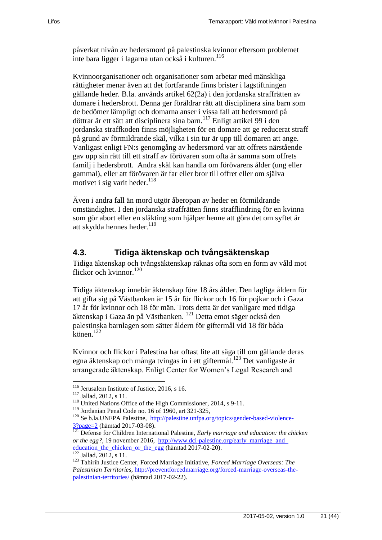påverkat nivån av hedersmord på palestinska kvinnor eftersom problemet inte bara ligger i lagarna utan också i kulturen.<sup>116</sup>

Kvinnoorganisationer och organisationer som arbetar med mänskliga rättigheter menar även att det fortfarande finns brister i lagstiftningen gällande heder. B.la. används artikel 62(2a) i den jordanska straffrätten av domare i hedersbrott. Denna ger föräldrar rätt att disciplinera sina barn som de bedömer lämpligt och domarna anser i vissa fall att hedersmord på döttrar är ett sätt att disciplinera sina barn.<sup>117</sup> Enligt artikel 99 i den jordanska straffkoden finns möjligheten för en domare att ge reducerat straff på grund av förmildrande skäl, vilka i sin tur är upp till domaren att ange. Vanligast enligt FN:s genomgång av hedersmord var att offrets närstående gav upp sin rätt till ett straff av förövaren som ofta är samma som offrets familj i hedersbrott. Andra skäl kan handla om förövarens ålder (ung eller gammal), eller att förövaren är far eller bror till offret eller om själva motivet i sig varit heder. $118$ 

Även i andra fall än mord utgör åberopan av heder en förmildrande omständighet. I den jordanska straffrätten finns strafflindring för en kvinna som gör abort eller en släkting som hjälper henne att göra det om syftet är att skydda hennes heder.<sup>119</sup>

#### <span id="page-20-0"></span>**4.3. Tidiga äktenskap och tvångsäktenskap**

Tidiga äktenskap och tvångsäktenskap räknas ofta som en form av våld mot flickor och kvinnor.<sup>120</sup>

Tidiga äktenskap innebär äktenskap före 18 års ålder. Den lagliga åldern för att gifta sig på Västbanken är 15 år för flickor och 16 för pojkar och i Gaza 17 år för kvinnor och 18 för män. Trots detta är det vanligare med tidiga äktenskap i Gaza än på Västbanken. <sup>121</sup> Detta emot säger också den palestinska barnlagen som sätter åldern för giftermål vid 18 för båda  $könen.<sup>122</sup>$ 

Kvinnor och flickor i Palestina har oftast lite att säga till om gällande deras egna äktenskap och många tvingas in i ett giftermål.<sup>123</sup> Det vanligaste är arrangerade äktenskap. Enligt Center for Women's Legal Research and

 $\overline{a}$ 

<sup>122</sup> Jallad*,* 2012, s 11.

<sup>116</sup> Jerusalem Institute of Justice, 2016, s 16.

<sup>117</sup> Jallad, 2012, s 11.

<sup>118</sup> United Nations Office of the High Commissioner, 2014, s 9-11.

 $119$  Jordanian Penal Code no. 16 of 1960, art 321-325,

<sup>&</sup>lt;sup>120</sup> Se b.la.UNFPA Palestine, [http://palestine.unfpa.org/topics/gender-based-violence-](http://palestine.unfpa.org/topics/gender-based-violence-3?page=2)[3?page=2](http://palestine.unfpa.org/topics/gender-based-violence-3?page=2) (hämtad 2017-03-08).

<sup>121</sup> Defense for Children International Palestine, *Early marriage and education: the chicken or the egg?*, 19 november 2016, http://www.dci-palestine.org/early\_marriage\_and\_ [education\\_the\\_chicken\\_or\\_the\\_egg](http://www.dci-palestine.org/early_marriage_and_%20education_the_chicken_or_the_egg) (hämtad 2017-02-20).

<sup>123</sup> Tahirih Justice Center, Forced Marriage Initiative, *Forced Marriage Overseas: The Palestinian Territories*, [http://preventforcedmarriage.org/forced-marriage-overseas-the](http://preventforcedmarriage.org/forced-marriage-overseas-the-palestinian-territories/)[palestinian-territories/](http://preventforcedmarriage.org/forced-marriage-overseas-the-palestinian-territories/) (hämtad 2017-02-22).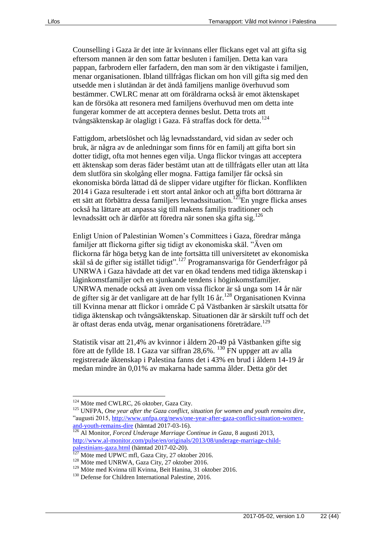Counselling i Gaza är det inte är kvinnans eller flickans eget val att gifta sig eftersom mannen är den som fattar besluten i familjen. Detta kan vara pappan, farbrodern eller farfadern, den man som är den viktigaste i familjen, menar organisationen. Ibland tillfrågas flickan om hon vill gifta sig med den utsedde men i slutändan är det ändå familjens manlige överhuvud som bestämmer. CWLRC menar att om föräldrarna också är emot äktenskapet kan de försöka att resonera med familjens överhuvud men om detta inte fungerar kommer de att acceptera dennes beslut. Detta trots att tvångsäktenskap är olagligt i Gaza. Få straffas dock för detta.<sup>124</sup>

Fattigdom, arbetslöshet och låg levnadsstandard, vid sidan av seder och bruk, är några av de anledningar som finns för en familj att gifta bort sin dotter tidigt, ofta mot hennes egen vilja. Unga flickor tvingas att acceptera ett äktenskap som deras fäder bestämt utan att de tillfrågats eller utan att låta dem slutföra sin skolgång eller mogna. Fattiga familjer får också sin ekonomiska börda lättad då de slipper vidare utgifter för flickan. Konflikten 2014 i Gaza resulterade i ett stort antal änkor och att gifta bort döttrarna är ett sätt att förbättra dessa familjers levnadssituation.<sup>125</sup>En yngre flicka anses också ha lättare att anpassa sig till makens familjs traditioner och levnadssätt och är därför att föredra när sonen ska gifta sig.<sup>126</sup>

Enligt Union of Palestinian Women's Committees i Gaza, föredrar många familjer att flickorna gifter sig tidigt av ekonomiska skäl. "Även om flickorna får höga betyg kan de inte fortsätta till universitetet av ekonomiska skäl så de gifter sig istället tidigt".<sup>127</sup> Programansvariga för Genderfrågor på UNRWA i Gaza hävdade att det var en ökad tendens med tidiga äktenskap i låginkomstfamiljer och en sjunkande tendens i höginkomstfamiljer. UNRWA menade också att även om vissa flickor är så unga som 14 år när de gifter sig är det vanligare att de har fyllt 16 år.<sup>128</sup> Organisationen Kvinna till Kvinna menar att flickor i område C på Västbanken är särskilt utsatta för tidiga äktenskap och tvångsäktenskap. Situationen där är särskilt tuff och det är oftast deras enda utväg, menar organisationens företrädare.<sup>129</sup>

Statistik visar att 21,4% av kvinnor i åldern 20-49 på Västbanken gifte sig före att de fyllde 18. I Gaza var siffran  $28.6\%$ . <sup>130</sup> FN uppger att av alla registrerade äktenskap i Palestina fanns det i 43% en brud i åldern 14-19 år medan mindre än 0,01% av makarna hade samma ålder. Detta gör det

<sup>&</sup>lt;sup>124</sup> Möte med CWLRC, 26 oktober, Gaza City.

<sup>125</sup> UNFPA, *One year after the Gaza conflict, situation for women and youth remains dire*, "augusti 2015, [http://www.unfpa.org/news/one-year-after-gaza-conflict-situation-women](http://www.unfpa.org/news/one-year-after-gaza-conflict-situation-women-and-youth-remains-dire)[and-youth-remains-dire](http://www.unfpa.org/news/one-year-after-gaza-conflict-situation-women-and-youth-remains-dire) (hämtad 2017-03-16).

<sup>126</sup> Al Monitor, *Forced Underage Marriage Continue in Gaza*, 8 augusti 2013, [http://www.al-monitor.com/pulse/en/originals/2013/08/underage-marriage-child](http://www.al-monitor.com/pulse/en/originals/2013/08/underage-marriage-child-palestinians-gaza.html)[palestinians-gaza.html](http://www.al-monitor.com/pulse/en/originals/2013/08/underage-marriage-child-palestinians-gaza.html) (hämtad 2017-02-20).

Möte med UPWC mfl, Gaza City, 27 oktober 2016.

<sup>128</sup> Möte med UNRWA, Gaza City, 27 oktober 2016.

<sup>129</sup> Möte med Kvinna till Kvinna, Beit Hanina, 31 oktober 2016.

<sup>&</sup>lt;sup>130</sup> Defense for Children International Palestine, 2016.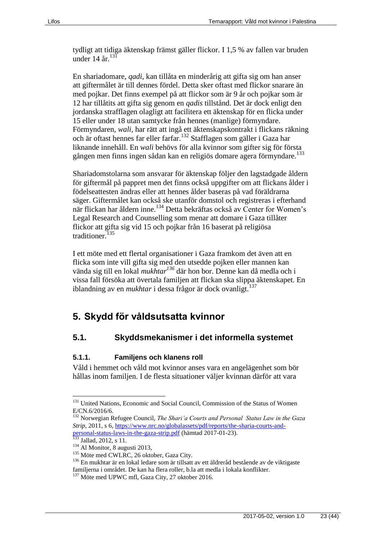tydligt att tidiga äktenskap främst gäller flickor. I 1,5 % av fallen var bruden under 14 år.  $131$ 

En shariadomare, *qadi*, kan tillåta en minderårig att gifta sig om han anser att giftermålet är till dennes fördel. Detta sker oftast med flickor snarare än med pojkar. Det finns exempel på att flickor som är 9 år och pojkar som är 12 har tillåtits att gifta sig genom en *qadis* tillstånd. Det är dock enligt den jordanska strafflagen olagligt att facilitera ett äktenskap för en flicka under 15 eller under 18 utan samtycke från hennes (manlige) förmyndare. Förmyndaren, *wali*, har rätt att ingå ett äktenskapskontrakt i flickans räkning och är oftast hennes far eller farfar.<sup>132</sup> Stafflagen som gäller i Gaza har liknande innehåll. En *wali* behövs för alla kvinnor som gifter sig för första gången men finns ingen sådan kan en religiös domare agera förmyndare.<sup>133</sup>

Shariadomstolarna som ansvarar för äktenskap följer den lagstadgade åldern för giftermål på pappret men det finns också uppgifter om att flickans ålder i födelseattesten ändras eller att hennes ålder baseras på vad föräldrarna säger. Giftermålet kan också ske utanför domstol och registreras i efterhand när flickan har åldern inne.<sup>134</sup> Detta bekräftas också av Center for Women's Legal Research and Counselling som menar att domare i Gaza tillåter flickor att gifta sig vid 15 och pojkar från 16 baserat på religiösa traditioner.<sup>135</sup>

I ett möte med ett flertal organisationer i Gaza framkom det även att en flicka som inte vill gifta sig med den utsedde pojken eller mannen kan vända sig till en lokal *mukhtar<sup>136</sup>* där hon bor. Denne kan då medla och i vissa fall försöka att övertala familjen att flickan ska slippa äktenskapet. En iblandning av en *mukhtar* i dessa frågor är dock ovanligt.<sup>137</sup>

# <span id="page-22-0"></span>**5. Skydd för våldsutsatta kvinnor**

#### <span id="page-22-1"></span>**5.1. Skyddsmekanismer i det informella systemet**

#### <span id="page-22-2"></span>**5.1.1. Familjens och klanens roll**

Våld i hemmet och våld mot kvinnor anses vara en angelägenhet som bör hållas inom familjen. I de flesta situationer väljer kvinnan därför att vara

<sup>&</sup>lt;sup>131</sup> United Nations, Economic and Social Council, Commission of the Status of Women E/CN.6/2016/6.

<sup>132</sup> Norwegian Refugee Council, *The Shari'a Courts and Personal Status Law in the Gaza Strip*, 2011, s 6, [https://www.nrc.no/globalassets/pdf/reports/the-sharia-courts-and](https://www.nrc.no/globalassets/pdf/reports/the-sharia-courts-and-personal-status-laws-in-the-gaza-strip.pdf)[personal-status-laws-in-the-gaza-strip.pdf](https://www.nrc.no/globalassets/pdf/reports/the-sharia-courts-and-personal-status-laws-in-the-gaza-strip.pdf) (hämtad 2017-01-23).

Jallad, 2012, s 11.

<sup>&</sup>lt;sup>134</sup> Al Monitor, 8 augusti 2013,

<sup>&</sup>lt;sup>135</sup> Möte med CWLRC, 26 oktober, Gaza City.

<sup>136</sup> En mukhtar är en lokal ledare som är tillsatt av ett äldreråd bestående av de viktigaste familjerna i området. De kan ha flera roller, b.la att medla i lokala konflikter.

<sup>&</sup>lt;sup>137</sup> Möte med UPWC mfl, Gaza City, 27 oktober 2016.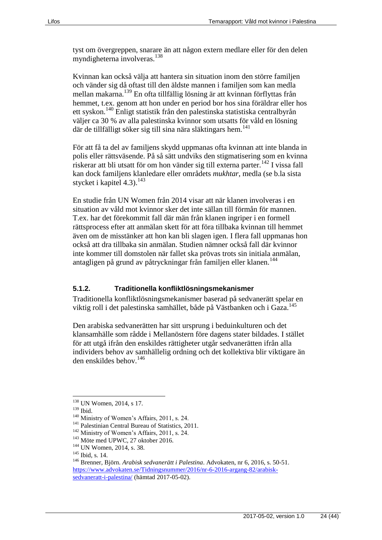tyst om övergreppen, snarare än att någon extern medlare eller för den delen myndigheterna involveras.<sup>138</sup>

Kvinnan kan också välja att hantera sin situation inom den större familjen och vänder sig då oftast till den äldste mannen i familjen som kan medla mellan makarna.<sup>139</sup> En ofta tillfällig lösning är att kvinnan förflyttas från hemmet, t.ex. genom att hon under en period bor hos sina föräldrar eller hos ett syskon.<sup>140</sup> Enligt statistik från den palestinska statistiska centralbyrån väljer ca 30 % av alla palestinska kvinnor som utsatts för våld en lösning där de tillfälligt söker sig till sina nära släktingars hem.<sup>141</sup>

För att få ta del av familjens skydd uppmanas ofta kvinnan att inte blanda in polis eller rättsväsende. På så sätt undviks den stigmatisering som en kvinna riskerar att bli utsatt för om hon vänder sig till externa parter.<sup>142</sup> I vissa fall kan dock familjens klanledare eller områdets *mukhtar*, medla (se b.la sista stycket i kapitel 4.3).<sup>143</sup>

En studie från UN Women från 2014 visar att när klanen involveras i en situation av våld mot kvinnor sker det inte sällan till förmån för mannen. T.ex. har det förekommit fall där män från klanen ingriper i en formell rättsprocess efter att anmälan skett för att föra tillbaka kvinnan till hemmet även om de misstänker att hon kan bli slagen igen. I flera fall uppmanas hon också att dra tillbaka sin anmälan. Studien nämner också fall där kvinnor inte kommer till domstolen när fallet ska prövas trots sin initiala anmälan, antagligen på grund av påtryckningar från familjen eller klanen.<sup>144</sup>

#### <span id="page-23-0"></span>**5.1.2. Traditionella konfliktlösningsmekanismer**

Traditionella konfliktlösningsmekanismer baserad på sedvanerätt spelar en viktig roll i det palestinska samhället, både på Västbanken och i Gaza.<sup>145</sup>

Den arabiska sedvanerätten har sitt ursprung i beduinkulturen och det klansamhälle som rådde i Mellanöstern före dagens stater bildades. I stället för att utgå ifrån den enskildes rättigheter utgår sedvanerätten ifrån alla individers behov av samhällelig ordning och det kollektiva blir viktigare än den enskildes behov.<sup>146</sup>

<sup>&</sup>lt;sup>138</sup> UN Women, 2014, s 17.

<sup>139</sup> Ibid.

<sup>&</sup>lt;sup>140</sup> Ministry of Women's Affairs, 2011, s. 24.

<sup>&</sup>lt;sup>141</sup> Palestinian Central Bureau of Statistics, 2011.

<sup>&</sup>lt;sup>142</sup> Ministry of Women's Affairs, 2011, s. 24.

<sup>143</sup> Möte med UPWC, 27 oktober 2016.

<sup>&</sup>lt;sup>144</sup> UN Women, 2014, s. 38.

<sup>&</sup>lt;sup>145</sup> Ibid, s. 14.

<sup>146</sup> Brenner, Björn. *Arabisk sedvanerätt i Palestina*. Advokaten, nr 6, 2016, s. 50-51. [https://www.advokaten.se/Tidningsnummer/2016/nr-6-2016-argang-82/arabisk](https://www.advokaten.se/Tidningsnummer/2016/nr-6-2016-argang-82/arabisk-sedvaneratt-i-palestina/)[sedvaneratt-i-palestina/](https://www.advokaten.se/Tidningsnummer/2016/nr-6-2016-argang-82/arabisk-sedvaneratt-i-palestina/) (hämtad 2017-05-02).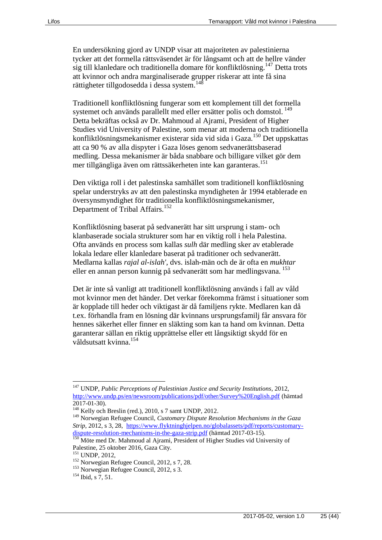En undersökning gjord av UNDP visar att majoriteten av palestinierna tycker att det formella rättsväsendet är för långsamt och att de hellre vänder  $\sin$  sig till klanledare och traditionella domare för konfliktlösning.<sup>147</sup> Detta trots att kvinnor och andra marginaliserade grupper riskerar att inte få sina rättigheter tillgodosedda i dessa system.<sup>148</sup>

Traditionell konfliktlösning fungerar som ett komplement till det formella systemet och används parallellt med eller ersätter polis och domstol.<sup>149</sup> Detta bekräftas också av Dr. Mahmoud al Ajrami, President of Higher Studies vid University of Palestine, som menar att moderna och traditionella konfliktlösningsmekanismer existerar sida vid sida i Gaza.<sup>150</sup> Det uppskattas att ca 90 % av alla dispyter i Gaza löses genom sedvanerättsbaserad medling. Dessa mekanismer är båda snabbare och billigare vilket gör dem mer tillgängliga även om rättssäkerheten inte kan garanteras.<sup>151</sup>

Den viktiga roll i det palestinska samhället som traditionell konfliktlösning spelar understryks av att den palestinska myndigheten år 1994 etablerade en översynsmyndighet för traditionella konfliktlösningsmekanismer, Department of Tribal Affairs.<sup>152</sup>

Konfliktlösning baserat på sedvanerätt har sitt ursprung i stam- och klanbaserade sociala strukturer som har en viktig roll i hela Palestina. Ofta används en process som kallas *sulh* där medling sker av etablerade lokala ledare eller klanledare baserat på traditioner och sedvanerätt. Medlarna kallas *rajal al-islah'*, dvs. islah-män och de är ofta en *mukhtar* eller en annan person kunnig på sedvanerätt som har medlingsvana.<sup>153</sup>

Det är inte så vanligt att traditionell konfliktlösning används i fall av våld mot kvinnor men det händer. Det verkar förekomma främst i situationer som är kopplade till heder och viktigast är då familjens rykte. Medlaren kan då t.ex. förhandla fram en lösning där kvinnans ursprungsfamilj får ansvara för hennes säkerhet eller finner en släkting som kan ta hand om kvinnan. Detta garanterar sällan en riktig upprättelse eller ett långsiktigt skydd för en våldsutsatt kvinna.<sup>154</sup>

<sup>147</sup> UNDP, *Public Perceptions of Palestinian Justice and Security Institutions*, 2012, <http://www.undp.ps/en/newsroom/publications/pdf/other/Survey%20English.pdf> (hämtad 2017-01-30).

 $148$  Kelly och Breslin (red.), 2010, s 7 samt UNDP, 2012.

<sup>149</sup> Norwegian Refugee Council, *Customary Dispute Resolution Mechanisms in the Gaza Strip*, 2012, s 3, 28, [https://www.flyktninghjelpen.no/globalassets/pdf/reports/customary](https://www.flyktninghjelpen.no/globalassets/pdf/reports/customary-dispute-resolution-mechanisms-in-the-gaza-strip.pdf)[dispute-resolution-mechanisms-in-the-gaza-strip.pdf](https://www.flyktninghjelpen.no/globalassets/pdf/reports/customary-dispute-resolution-mechanisms-in-the-gaza-strip.pdf) (hämtad 2017-03-15).

<sup>&</sup>lt;sup>150</sup> Möte med Dr. Mahmoud al Ajrami, President of Higher Studies vid University of Palestine, 25 oktober 2016, Gaza City.

<sup>151</sup> UNDP, 2012,

<sup>152</sup> Norwegian Refugee Council, 2012, s 7, 28.

<sup>153</sup> Norwegian Refugee Council, 2012, s 3.

<sup>&</sup>lt;sup>154</sup> Ibid, s 7, 51.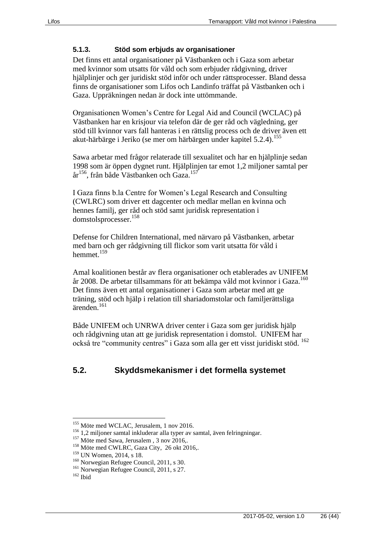#### <span id="page-25-0"></span>**5.1.3. Stöd som erbjuds av organisationer**

Det finns ett antal organisationer på Västbanken och i Gaza som arbetar med kvinnor som utsatts för våld och som erbjuder rådgivning, driver hjälplinjer och ger juridiskt stöd inför och under rättsprocesser. Bland dessa finns de organisationer som Lifos och Landinfo träffat på Västbanken och i Gaza. Uppräkningen nedan är dock inte uttömmande.

Organisationen Women's Centre for Legal Aid and Council (WCLAC) på Västbanken har en krisjour via telefon där de ger råd och vägledning, ger stöd till kvinnor vars fall hanteras i en rättslig process och de driver även ett akut-härbärge i Jeriko (se mer om härbärgen under kapitel 5.2.4).<sup>155</sup>

Sawa arbetar med frågor relaterade till sexualitet och har en hjälplinje sedan 1998 som är öppen dygnet runt. Hjälplinjen tar emot 1,2 miljoner samtal per år<sup>156</sup>, från både Västbanken och Gaza.<sup>157</sup>

I Gaza finns b.la Centre for Women's Legal Research and Consulting (CWLRC) som driver ett dagcenter och medlar mellan en kvinna och hennes familj, ger råd och stöd samt juridisk representation i domstolsprocesser.<sup>158</sup>

Defense for Children International, med närvaro på Västbanken, arbetar med barn och ger rådgivning till flickor som varit utsatta för våld i hemmet $159$ 

Amal koalitionen består av flera organisationer och etablerades av UNIFEM år 2008. De arbetar tillsammans för att bekämpa våld mot kvinnor i Gaza.<sup>160</sup> Det finns även ett antal organisationer i Gaza som arbetar med att ge träning, stöd och hjälp i relation till shariadomstolar och familjerättsliga ärenden.<sup>161</sup>

Både UNIFEM och UNRWA driver center i Gaza som ger juridisk hjälp och rådgivning utan att ge juridisk representation i domstol. UNIFEM har också tre "community centres" i Gaza som alla ger ett visst juridiskt stöd. <sup>162</sup>

### <span id="page-25-1"></span>**5.2. Skyddsmekanismer i det formella systemet**

<sup>&</sup>lt;sup>155</sup> Möte med WCLAC, Jerusalem, 1 nov 2016.

<sup>&</sup>lt;sup>156</sup> 1,2 miljoner samtal inkluderar alla typer av samtal, även felringningar.

<sup>&</sup>lt;sup>157</sup> Möte med Sawa, Jerusalem , 3 nov 2016,.

<sup>&</sup>lt;sup>158</sup> Möte med CWLRC, Gaza City, 26 okt 2016,.

<sup>159</sup> UN Women, 2014, s 18.

<sup>160</sup> Norwegian Refugee Council, 2011, s 30.

<sup>&</sup>lt;sup>161</sup> Norwegian Refugee Council, 2011, s 27.

<sup>162</sup> Ibid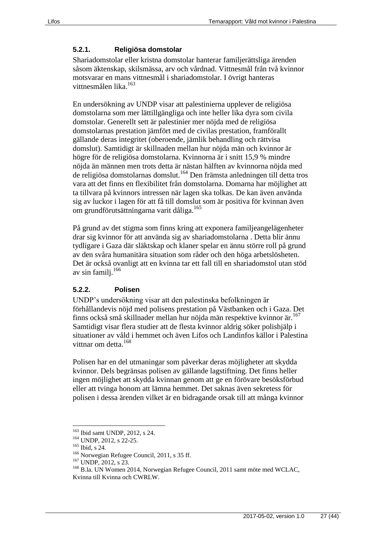#### <span id="page-26-0"></span>**5.2.1. Religiösa domstolar**

Shariadomstolar eller kristna domstolar hanterar familjerättsliga ärenden såsom äktenskap, skilsmässa, arv och vårdnad. Vittnesmål från två kvinnor motsvarar en mans vittnesmål i shariadomstolar. I övrigt hanteras vittnesmålen lika.<sup>163</sup>

En undersökning av UNDP visar att palestinierna upplever de religiösa domstolarna som mer lättillgängliga och inte heller lika dyra som civila domstolar. Generellt sett är palestinier mer nöjda med de religiösa domstolarnas prestation jämfört med de civilas prestation, framförallt gällande deras integritet (oberoende, jämlik behandling och rättvisa domslut). Samtidigt är skillnaden mellan hur nöjda män och kvinnor är högre för de religiösa domstolarna. Kvinnorna är i snitt 15,9 % mindre nöjda än männen men trots detta är nästan hälften av kvinnorna nöjda med de religiösa domstolarnas domslut.<sup>164</sup> Den främsta anledningen till detta tros vara att det finns en flexibilitet från domstolarna. Domarna har möjlighet att ta tillvara på kvinnors intressen när lagen ska tolkas. De kan även använda sig av luckor i lagen för att få till domslut som är positiva för kvinnan även om grundförutsättningarna varit dåliga.<sup>165</sup>

På grund av det stigma som finns kring att exponera familjeangelägenheter drar sig kvinnor för att använda sig av shariadomstolarna . Detta blir ännu tydligare i Gaza där släktskap och klaner spelar en ännu större roll på grund av den svåra humanitära situation som råder och den höga arbetslösheten. Det är också ovanligt att en kvinna tar ett fall till en shariadomstol utan stöd av sin familj.<sup>166</sup>

#### <span id="page-26-1"></span>**5.2.2. Polisen**

UNDP's undersökning visar att den palestinska befolkningen är förhållandevis nöjd med polisens prestation på Västbanken och i Gaza. Det finns också små skillnader mellan hur nöjda män respektive kvinnor är.<sup>167</sup> Samtidigt visar flera studier att de flesta kvinnor aldrig söker polishjälp i situationer av våld i hemmet och även Lifos och Landinfos källor i Palestina vittnar om detta.<sup>168</sup>

Polisen har en del utmaningar som påverkar deras möjligheter att skydda kvinnor. Dels begränsas polisen av gällande lagstiftning. Det finns heller ingen möjlighet att skydda kvinnan genom att ge en förövare besöksförbud eller att tvinga honom att lämna hemmet. Det saknas även sekretess för polisen i dessa ärenden vilket är en bidragande orsak till att många kvinnor

<sup>163</sup> Ibid samt UNDP, 2012, s 24.

<sup>&</sup>lt;sup>164</sup> UNDP, 2012, s 22-25.

<sup>165</sup> Ibid, s 24.

<sup>&</sup>lt;sup>166</sup> Norwegian Refugee Council, 2011, s 35 ff.

<sup>&</sup>lt;sup>167</sup> UNDP, 2012, s 23.

<sup>168</sup> B.la. UN Women 2014, Norwegian Refugee Council, 2011 samt möte med WCLAC, Kvinna till Kvinna och CWRLW.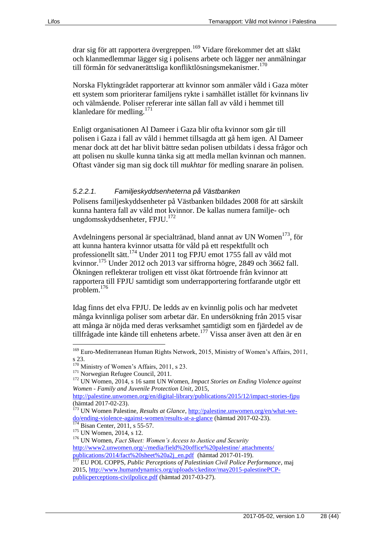drar sig för att rapportera övergreppen.<sup>169</sup> Vidare förekommer det att släkt och klanmedlemmar lägger sig i polisens arbete och lägger ner anmälningar till förmån för sedvanerättsliga konfliktlösningsmekanismer.<sup>170</sup>

Norska Flyktingrådet rapporterar att kvinnor som anmäler våld i Gaza möter ett system som prioriterar familjens rykte i samhället istället för kvinnans liv och välmående. Poliser refererar inte sällan fall av våld i hemmet till klanledare för medling.<sup>171</sup>

Enligt organisationen Al Dameer i Gaza blir ofta kvinnor som går till polisen i Gaza i fall av våld i hemmet tillsagda att gå hem igen. Al Dameer menar dock att det har blivit bättre sedan polisen utbildats i dessa frågor och att polisen nu skulle kunna tänka sig att medla mellan kvinnan och mannen. Oftast vänder sig man sig dock till *mukhtar* för medling snarare än polisen.

#### *5.2.2.1. Familjeskyddsenheterna på Västbanken*

Polisens familjeskyddsenheter på Västbanken bildades 2008 för att särskilt kunna hantera fall av våld mot kvinnor. De kallas numera familje- och ungdomsskyddsenheter, FPJU. 172

Avdelningens personal är specialtränad, bland annat av UN Women<sup>173</sup>, för att kunna hantera kvinnor utsatta för våld på ett respektfullt och professionellt sätt.<sup>174</sup> Under 2011 tog FPJU emot 1755 fall av våld mot kvinnor. <sup>175</sup> Under 2012 och 2013 var siffrorna högre, 2849 och 3662 fall. Ökningen reflekterar troligen ett visst ökat förtroende från kvinnor att rapportera till FPJU samtidigt som underrapportering fortfarande utgör ett problem.<sup>176</sup>

Idag finns det elva FPJU. De ledds av en kvinnlig polis och har medvetet många kvinnliga poliser som arbetar där. En undersökning från 2015 visar att många är nöjda med deras verksamhet samtidigt som en fjärdedel av de tillfrågade inte kände till enhetens arbete.<sup>177</sup> Vissa anser även att den är en

<sup>&</sup>lt;sup>169</sup> Euro-Mediterranean Human Rights Network, 2015, Ministry of Women's Affairs, 2011, s 23.

<sup>&</sup>lt;sup>170</sup> Ministry of Women's Affairs, 2011, s 23.

<sup>&</sup>lt;sup>171</sup> Norwegian Refugee Council, 2011.

<sup>172</sup> UN Women, 2014, s 16 samt UN Women, *Impact Stories on Ending Violence against Women - Family and Juvenile Protection Unit*, 2015,

<http://palestine.unwomen.org/en/digital-library/publications/2015/12/impact-stories-fjpu> (hämtad 2017-02-23).

<sup>&</sup>lt;sup>173</sup> UN Women Palestine, *Results at Glance*[, http://palestine.unwomen.org/en/what-we](http://palestine.unwomen.org/en/what-we-do/ending-violence-against-women/results-at-a-glance)[do/ending-violence-against-women/results-at-a-glance](http://palestine.unwomen.org/en/what-we-do/ending-violence-against-women/results-at-a-glance) (hämtad 2017-02-23).<br>
<sup>174</sup> Bison Cartes, 2011, 55,577 Bisan Center, 2011, s 55-57.

<sup>&</sup>lt;sup>175</sup> UN Women, 2014, s 12.

<sup>176</sup> UN Women, *Fact Sheet: Women's Access to Justice and Security* [http://www2.unwomen.org/-/media/field%20office%20palestine/ attachments/](http://www2.unwomen.org/-/media/field%20office%20palestine/%20attachments/%20publications/2014/fact%20sheet%20a2j_en.pdf)  [publications/2014/fact%20sheet%20a2j\\_en.pdf](http://www2.unwomen.org/-/media/field%20office%20palestine/%20attachments/%20publications/2014/fact%20sheet%20a2j_en.pdf) (hämtad 2017-01-19).

<sup>177</sup> EU POL COPPS, *Public Perceptions of Palestinian Civil Police Performance*, maj 2015[, http://www.humandynamics.org/uploads/ckeditor/may2015-palestinePCP](http://www.humandynamics.org/uploads/ckeditor/may2015-palestinePCP-publicperceptions-civilpolice.pdf)[publicperceptions-civilpolice.pdf](http://www.humandynamics.org/uploads/ckeditor/may2015-palestinePCP-publicperceptions-civilpolice.pdf) (hämtad 2017-03-27).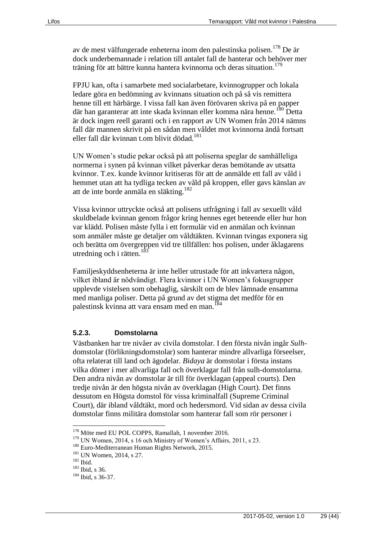av de mest välfungerade enheterna inom den palestinska polisen.<sup>178</sup> De är dock underbemannade i relation till antalet fall de hanterar och behöver mer träning för att bättre kunna hantera kvinnorna och deras situation.<sup>179</sup>

FPJU kan, ofta i samarbete med socialarbetare, kvinnogrupper och lokala ledare göra en bedömning av kvinnans situation och på så vis remittera henne till ett härbärge. I vissa fall kan även förövaren skriva på en papper där han garanterar att inte skada kvinnan eller komma nära henne.<sup>180</sup> Detta är dock ingen reell garanti och i en rapport av UN Women från 2014 nämns fall där mannen skrivit på en sådan men våldet mot kvinnorna ändå fortsatt eller fall där kvinnan t.om blivit dödad.<sup>181</sup>

UN Women's studie pekar också på att poliserna speglar de samhälleliga normerna i synen på kvinnan vilket påverkar deras bemötande av utsatta kvinnor. T.ex. kunde kvinnor kritiseras för att de anmälde ett fall av våld i hemmet utan att ha tydliga tecken av våld på kroppen, eller gavs känslan av att de inte borde anmäla en släkting.<sup>182</sup>

Vissa kvinnor uttryckte också att polisens utfrågning i fall av sexuellt våld skuldbelade kvinnan genom frågor kring hennes eget beteende eller hur hon var klädd. Polisen måste fylla i ett formulär vid en anmälan och kvinnan som anmäler måste ge detaljer om våldtäkten. Kvinnan tvingas exponera sig och berätta om övergreppen vid tre tillfällen: hos polisen, under åklagarens utredning och i rätten.<sup>18</sup>

Familjeskyddsenheterna är inte heller utrustade för att inkvartera någon, vilket ibland är nödvändigt. Flera kvinnor i UN Women's fokusgrupper upplevde vistelsen som obehaglig, särskilt om de blev lämnade ensamma med manliga poliser. Detta på grund av det stigma det medför för en palestinsk kvinna att vara ensam med en man.<sup>184</sup>

#### <span id="page-28-0"></span>**5.2.3. Domstolarna**

Västbanken har tre nivåer av civila domstolar. I den första nivån ingår *Sulh*domstolar (förlikningsdomstolar) som hanterar mindre allvarliga förseelser, ofta relaterat till land och ägodelar. *Bidaya* är domstolar i första instans vilka dömer i mer allvarliga fall och överklagar fall från sulh-domstolarna. Den andra nivån av domstolar är till för överklagan (appeal courts). Den tredje nivån är den högsta nivån av överklagan (High Court). Det finns dessutom en Högsta domstol för vissa kriminalfall (Supreme Criminal Court), där ibland våldtäkt, mord och hedersmord. Vid sidan av dessa civila domstolar finns militära domstolar som hanterar fall som rör personer i

<sup>178</sup> Möte med EU POL COPPS, Ramallah, 1 november 2016.

<sup>179</sup> UN Women, 2014, s 16 och Ministry of Women's Affairs, 2011, s 23.

<sup>180</sup> Euro-Mediterranean Human Rights Network, 2015.

<sup>&</sup>lt;sup>181</sup> UN Women, 2014, s 27.

 $182$  Ibid.

<sup>183</sup> Ibid, s 36.

<sup>184</sup> Ibid, s 36-37.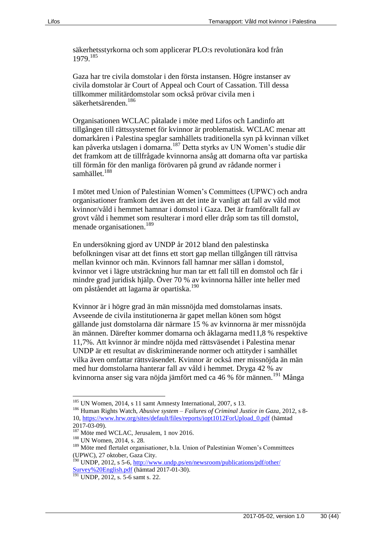säkerhetsstyrkorna och som applicerar PLO:s revolutionära kod från 1979.<sup>185</sup>

Gaza har tre civila domstolar i den första instansen. Högre instanser av civila domstolar är Court of Appeal och Court of Cassation. Till dessa tillkommer militärdomstolar som också prövar civila men i säkerhetsärenden.<sup>186</sup>

Organisationen WCLAC påtalade i möte med Lifos och Landinfo att tillgången till rättssystemet för kvinnor är problematisk. WCLAC menar att domarkåren i Palestina speglar samhällets traditionella syn på kvinnan vilket kan påverka utslagen i domarna.<sup>187</sup> Detta styrks av UN Women's studie där det framkom att de tillfrågade kvinnorna ansåg att domarna ofta var partiska till förmån för den manliga förövaren på grund av rådande normer i samhället.<sup>188</sup>

I mötet med Union of Palestinian Women's Committees (UPWC) och andra organisationer framkom det även att det inte är vanligt att fall av våld mot kvinnor/våld i hemmet hamnar i domstol i Gaza. Det är framförallt fall av grovt våld i hemmet som resulterar i mord eller dråp som tas till domstol, menade organisationen.<sup>189</sup>

En undersökning gjord av UNDP år 2012 bland den palestinska befolkningen visar att det finns ett stort gap mellan tillgången till rättvisa mellan kvinnor och män. Kvinnors fall hamnar mer sällan i domstol, kvinnor vet i lägre utsträckning hur man tar ett fall till en domstol och får i mindre grad juridisk hjälp. Över 70 % av kvinnorna håller inte heller med om påståendet att lagarna är opartiska.<sup>190</sup>

Kvinnor är i högre grad än män missnöjda med domstolarnas insats. Avseende de civila institutionerna är gapet mellan könen som högst gällande just domstolarna där närmare 15 % av kvinnorna är mer missnöjda än männen. Därefter kommer domarna och åklagarna med11,8 % respektive 11,7%. Att kvinnor är mindre nöjda med rättsväsendet i Palestina menar UNDP är ett resultat av diskriminerande normer och attityder i samhället vilka även omfattar rättsväsendet. Kvinnor är också mer missnöjda än män med hur domstolarna hanterar fall av våld i hemmet. Dryga 42 % av kvinnorna anser sig vara nöjda jämfört med ca 46 % för männen.<sup>191</sup> Många

<sup>&</sup>lt;sup>185</sup> UN Women, 2014, s 11 samt Amnesty International, 2007, s 13.

<sup>186</sup> Human Rights Watch, *Abusive system – Failures of Criminal Justice in Gaza*, 2012, s 8- 10, [https://www.hrw.org/sites/default/files/reports/iopt1012ForUpload\\_0.pdf](https://www.hrw.org/sites/default/files/reports/iopt1012ForUpload_0.pdf) (hämtad 2017-03-09).

<sup>&</sup>lt;sup>187</sup> Möte med WCLAC, Jerusalem, 1 nov 2016.

<sup>188</sup> UN Women, 2014, s. 28.

<sup>189</sup> Möte med flertalet organisationer, b.la. Union of Palestinian Women's Committees (UPWC), 27 oktober, Gaza City.

<sup>&</sup>lt;sup>190</sup> UNDP, 2012, s 5-6, http://www.undp.ps/en/newsroom/publications/pdf/other/ [Survey%20English.pdf](http://www.undp.ps/en/newsroom/publications/pdf/other/%20Survey%20English.pdf) (hämtad 2017-01-30).

 $\frac{191}{191}$  UNDP, 2012, s. 5-6 samt s. 22.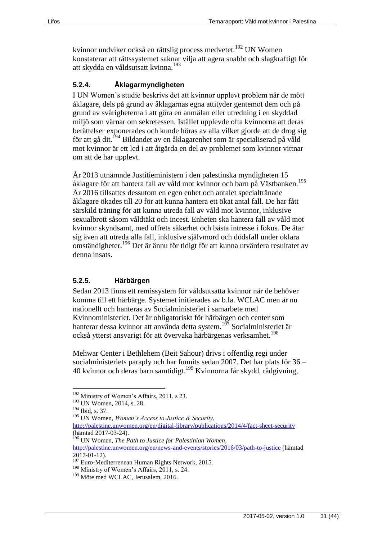kvinnor undviker också en rättslig process medvetet.<sup>192</sup> UN Women konstaterar att rättssystemet saknar vilja att agera snabbt och slagkraftigt för att skydda en våldsutsatt kvinna.<sup>193</sup>

#### <span id="page-30-0"></span>**5.2.4. Åklagarmyndigheten**

I UN Women's studie beskrivs det att kvinnor upplevt problem när de mött åklagare, dels på grund av åklagarnas egna attityder gentemot dem och på grund av svårigheterna i att göra en anmälan eller utredning i en skyddad miljö som värnar om sekretessen. Istället upplevde ofta kvinnorna att deras berättelser exponerades och kunde höras av alla vilket gjorde att de drog sig för att gå dit.<sup>194</sup> Bildandet av en åklagarenhet som är specialiserad på våld mot kvinnor är ett led i att åtgärda en del av problemet som kvinnor vittnar om att de har upplevt.

År 2013 utnämnde Justitieministern i den palestinska myndigheten 15 åklagare för att hantera fall av våld mot kvinnor och barn på Västbanken.<sup>195</sup> År 2016 tillsattes dessutom en egen enhet och antalet specialtränade åklagare ökades till 20 för att kunna hantera ett ökat antal fall. De har fått särskild träning för att kunna utreda fall av våld mot kvinnor, inklusive sexualbrott såsom våldtäkt och incest. Enheten ska hantera fall av våld mot kvinnor skyndsamt, med offrets säkerhet och bästa intresse i fokus. De åtar sig även att utreda alla fall, inklusive självmord och dödsfall under oklara omständigheter.<sup>196</sup> Det är ännu för tidigt för att kunna utvärdera resultatet av denna insats.

#### <span id="page-30-1"></span>**5.2.5. Härbärgen**

Sedan 2013 finns ett remissystem för våldsutsatta kvinnor när de behöver komma till ett härbärge. Systemet initierades av b.la. WCLAC men är nu nationellt och hanteras av Socialministeriet i samarbete med Kvinnoministeriet. Det är obligatoriskt för härbärgen och center som hanterar dessa kvinnor att använda detta system.<sup>197</sup> Socialministeriet är också ytterst ansvarigt för att övervaka härbärgenas verksamhet.<sup>198</sup>

Mehwar Center i Bethlehem (Beit Sahour) drivs i offentlig regi under socialministeriets paraply och har funnits sedan 2007. Det har plats för 36 – 40 kvinnor och deras barn samtidigt.<sup>199</sup> Kvinnorna får skydd, rådgivning,

 $\overline{a}$ 

<http://palestine.unwomen.org/en/digital-library/publications/2014/4/fact-sheet-security> (hämtad 2017-03-24).

<sup>&</sup>lt;sup>192</sup> Ministry of Women's Affairs, 2011, s 23.

<sup>&</sup>lt;sup>193</sup> UN Women, 2014, s. 28.

<sup>194</sup> Ibid, s. 37.

<sup>195</sup> UN Women, *Women's Access to Justice & Security*,

<sup>196</sup> UN Women, *The Path to Justice for Palestinian Women,* 

<http://palestine.unwomen.org/en/news-and-events/stories/2016/03/path-to-justice> (hämtad  $2017-01-12$ ).

<sup>&</sup>lt;sup>197</sup> Euro-Mediterrenean Human Rights Network, 2015.

 $198$  Ministry of Women's Affairs, 2011, s. 24.

<sup>&</sup>lt;sup>199</sup> Möte med WCLAC, Jerusalem, 2016.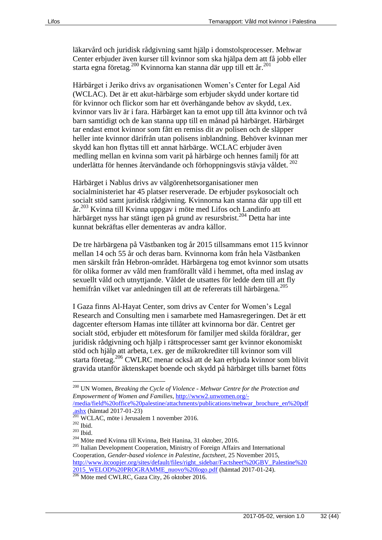läkarvård och juridisk rådgivning samt hjälp i domstolsprocesser. Mehwar Center erbjuder även kurser till kvinnor som ska hjälpa dem att få jobb eller starta egna företag. <sup>200</sup> Kvinnorna kan stanna där upp till ett år. 201

Härbärget i Jeriko drivs av organisationen Women's Center for Legal Aid (WCLAC). Det är ett akut-härbärge som erbjuder skydd under kortare tid för kvinnor och flickor som har ett överhängande behov av skydd, t.ex. kvinnor vars liv är i fara. Härbärget kan ta emot upp till åtta kvinnor och två barn samtidigt och de kan stanna upp till en månad på härbärget. Härbärget tar endast emot kvinnor som fått en remiss dit av polisen och de släpper heller inte kvinnor därifrån utan polisens inblandning. Behöver kvinnan mer skydd kan hon flyttas till ett annat härbärge. WCLAC erbjuder även medling mellan en kvinna som varit på härbärge och hennes familj för att underlätta för hennes återvändande och förhoppningsvis stävja våldet.  $^{202}$ 

Härbärget i Nablus drivs av välgörenhetsorganisationer men socialministeriet har 45 platser reserverade. De erbjuder psykosocialt och socialt stöd samt juridisk rådgivning. Kvinnorna kan stanna där upp till ett år.<sup>203</sup> Kvinna till Kvinna uppgav i möte med Lifos och Landinfo att härbärget nyss har stängt igen på grund av resursbrist.<sup>204</sup> Detta har inte kunnat bekräftas eller dementeras av andra källor.

De tre härbärgena på Västbanken tog år 2015 tillsammans emot 115 kvinnor mellan 14 och 55 år och deras barn. Kvinnorna kom från hela Västbanken men särskilt från Hebron-området. Härbärgena tog emot kvinnor som utsatts för olika former av våld men framförallt våld i hemmet, ofta med inslag av sexuellt våld och utnyttjande. Våldet de utsattes för ledde dem till att fly hemifrån vilket var anledningen till att de refererats till härbärgena.<sup>205</sup>

I Gaza finns Al-Hayat Center, som drivs av Center for Women's Legal Research and Consulting men i samarbete med Hamasregeringen. Det är ett dagcenter eftersom Hamas inte tillåter att kvinnorna bor där. Centret ger socialt stöd, erbjuder ett mötesforum för familjer med skilda föräldrar, ger juridisk rådgivning och hjälp i rättsprocesser samt ger kvinnor ekonomiskt stöd och hjälp att arbeta, t.ex. ger de mikrokrediter till kvinnor som vill starta företag. <sup>206</sup> CWLRC menar också att de kan erbjuda kvinnor som blivit gravida utanför äktenskapet boende och skydd på härbärget tills barnet fötts

[/media/field%20office%20palestine/attachments/publications/mehwar\\_brochure\\_en%20pdf](http://www2.unwomen.org/-/media/field%20office%20palestine/attachments/publications/mehwar_brochure_en%20pdf.ashx)  $\frac{\text{a} \cdot \text{a} \cdot \text{b} \cdot \text{c} \cdot \text{c} \cdot \text{c} \cdot \text{c} \cdot \text{c} \cdot \text{c} \cdot \text{c}}{201 \text{ W/CW} + \text{c}}$ 

<sup>200</sup> UN Women, *Breaking the Cycle of Violence - Mehwar Centre for the Protection and Empowerment of Women and Families*, [http://www2.unwomen.org/-](http://www2.unwomen.org/-/media/field%20office%20palestine/attachments/publications/mehwar_brochure_en%20pdf.ashx)

<sup>201</sup> WCLAC, möte i Jerusalem 1 november 2016.

<sup>202</sup> Ibid.

<sup>203</sup> Ibid.

<sup>204</sup> Möte med Kvinna till Kvinna, Beit Hanina, 31 oktober, 2016.

<sup>&</sup>lt;sup>205</sup> Italian Development Cooperation, Ministry of Foreign Affairs and International Cooperation, *Gender-based violence in Palestine, factsheet*, 25 November 2015, [http://www.itcoopjer.org/sites/default/files/right\\_sidebar/Factsheet%20GBV\\_Palestine%20](http://www.itcoopjer.org/sites/default/files/right_sidebar/Factsheet%20GBV_Palestine%202015_WELOD%20PROGRAMME_nuovo%20logo.pdf) [2015\\_WELOD%20PROGRAMME\\_nuovo%20logo.pdf](http://www.itcoopjer.org/sites/default/files/right_sidebar/Factsheet%20GBV_Palestine%202015_WELOD%20PROGRAMME_nuovo%20logo.pdf) (hämtad 2017-01-24).

<sup>206</sup> Möte med CWLRC, Gaza City, 26 oktober 2016.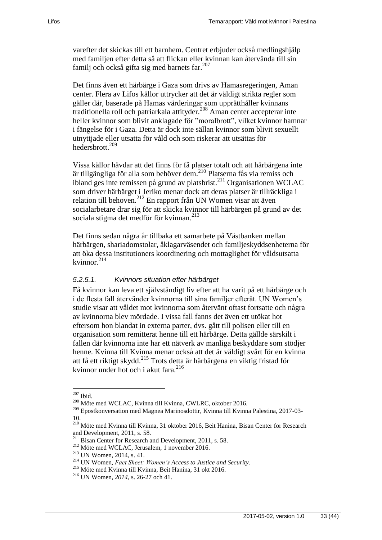varefter det skickas till ett barnhem. Centret erbjuder också medlingshjälp med familjen efter detta så att flickan eller kvinnan kan återvända till sin familj och också gifta sig med barnets far.<sup>207</sup>

Det finns även ett härbärge i Gaza som drivs av Hamasregeringen, Aman center. Flera av Lifos källor uttrycker att det är väldigt strikta regler som gäller där, baserade på Hamas värderingar som upprätthåller kvinnans traditionella roll och patriarkala attityder.<sup>208</sup> Aman center accepterar inte heller kvinnor som blivit anklagade för "moralbrott", vilket kvinnor hamnar i fängelse för i Gaza. Detta är dock inte sällan kvinnor som blivit sexuellt utnyttjade eller utsatta för våld och som riskerar att utsättas för hedersbrott.<sup>209</sup>

Vissa källor hävdar att det finns för få platser totalt och att härbärgena inte är tillgängliga för alla som behöver dem.<sup>210</sup> Platserna fås via remiss och ibland ges inte remissen på grund av platsbrist.<sup>211</sup> Organisationen WCLAC som driver härbärget i Jeriko menar dock att deras platser är tillräckliga i relation till behoven.<sup>212</sup> En rapport från UN Women visar att även socialarbetare drar sig för att skicka kvinnor till härbärgen på grund av det sociala stigma det medför för kvinnan.<sup>213</sup>

Det finns sedan några år tillbaka ett samarbete på Västbanken mellan härbärgen, shariadomstolar, åklagarväsendet och familjeskyddsenheterna för att öka dessa institutioners koordinering och mottaglighet för våldsutsatta kvinnor.<sup>214</sup>

#### *5.2.5.1. Kvinnors situation efter härbärget*

Få kvinnor kan leva ett självständigt liv efter att ha varit på ett härbärge och i de flesta fall återvänder kvinnorna till sina familjer efteråt. UN Women's studie visar att våldet mot kvinnorna som återvänt oftast fortsatte och några av kvinnorna blev mördade. I vissa fall fanns det även ett utökat hot eftersom hon blandat in externa parter, dvs. gått till polisen eller till en organisation som remitterat henne till ett härbärge. Detta gällde särskilt i fallen där kvinnorna inte har ett nätverk av manliga beskyddare som stödjer henne. Kvinna till Kvinna menar också att det är väldigt svårt för en kvinna att få ett riktigt skydd.<sup>215</sup> Trots detta är härbärgena en viktig fristad för kvinnor under hot och i akut fara.<sup>216</sup>

 $207$  Ibid.

<sup>208</sup> Möte med WCLAC, Kvinna till Kvinna, CWLRC, oktober 2016.

<sup>209</sup> Epostkonversation med Magnea Marinosdottir, Kvinna till Kvinna Palestina, 2017-03- 10.

<sup>210</sup> Möte med Kvinna till Kvinna, 31 oktober 2016, Beit Hanina, Bisan Center for Research and Development, 2011, s. 58.

<sup>&</sup>lt;sup>211</sup> Bisan Center for Research and Development, 2011, s. 58.

<sup>212</sup> Möte med WCLAC, Jerusalem, 1 november 2016.

<sup>213</sup> UN Women, 2014, s. 41.

<sup>214</sup> UN Women, *Fact Sheet: Women's Access to Justice and Security.*

<sup>215</sup> Möte med Kvinna till Kvinna, Beit Hanina, 31 okt 2016.

<sup>216</sup> UN Women, *2014,* s. 26-27 och 41.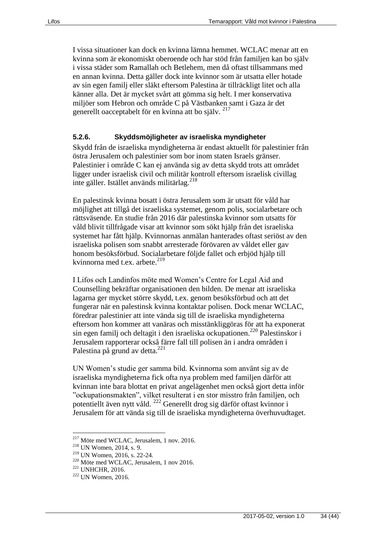I vissa situationer kan dock en kvinna lämna hemmet. WCLAC menar att en kvinna som är ekonomiskt oberoende och har stöd från familjen kan bo själv i vissa städer som Ramallah och Betlehem, men då oftast tillsammans med en annan kvinna. Detta gäller dock inte kvinnor som är utsatta eller hotade av sin egen familj eller släkt eftersom Palestina är tillräckligt litet och alla känner alla. Det är mycket svårt att gömma sig helt. I mer konservativa miljöer som Hebron och område C på Västbanken samt i Gaza är det generellt oacceptabelt för en kvinna att bo själv. <sup>217</sup>

#### <span id="page-33-0"></span>**5.2.6. Skyddsmöjligheter av israeliska myndigheter**

Skydd från de israeliska myndigheterna är endast aktuellt för palestinier från östra Jerusalem och palestinier som bor inom staten Israels gränser. Palestinier i område C kan ej använda sig av detta skydd trots att området ligger under israelisk civil och militär kontroll eftersom israelisk civillag inte gäller. Istället används militärlag.<sup>218</sup>

En palestinsk kvinna bosatt i östra Jerusalem som är utsatt för våld har möjlighet att tillgå det israeliska systemet, genom polis, socialarbetare och rättsväsende. En studie från 2016 där palestinska kvinnor som utsatts för våld blivit tillfrågade visar att kvinnor som sökt hjälp från det israeliska systemet har fått hjälp. Kvinnornas anmälan hanterades oftast seriöst av den israeliska polisen som snabbt arresterade förövaren av våldet eller gav honom besöksförbud. Socialarbetare följde fallet och erbjöd hjälp till kvinnorna med t.ex. arbete. $^{219}$ 

I Lifos och Landinfos möte med Women's Centre for Legal Aid and Counselling bekräftar organisationen den bilden. De menar att israeliska lagarna ger mycket större skydd, t.ex. genom besöksförbud och att det fungerar när en palestinsk kvinna kontaktar polisen. Dock menar WCLAC, föredrar palestinier att inte vända sig till de israeliska myndigheterna eftersom hon kommer att vanäras och misstänkliggöras för att ha exponerat sin egen familj och deltagit i den israeliska ockupationen.<sup>220</sup> Palestinskor i Jerusalem rapporterar också färre fall till polisen än i andra områden i Palestina på grund av detta.<sup>221</sup>

UN Women's studie ger samma bild. Kvinnorna som använt sig av de israeliska myndigheterna fick ofta nya problem med familjen därför att kvinnan inte bara blottat en privat angelägenhet men också gjort detta inför "ockupationsmakten", vilket resulterat i en stor misstro från familjen, och potentiellt även nytt våld. <sup>222</sup> Generellt drog sig därför oftast kvinnor i Jerusalem för att vända sig till de israeliska myndigheterna överhuvudtaget.

<sup>217</sup> Möte med WCLAC, Jerusalem, 1 nov. 2016.

<sup>218</sup> UN Women, 2014, s. 9.

<sup>219</sup> UN Women, 2016, s. 22-24.

<sup>220</sup> Möte med WCLAC, Jerusalem, 1 nov 2016.

<sup>&</sup>lt;sup>221</sup> UNHCHR, 2016.

<sup>&</sup>lt;sup>222</sup> UN Women, 2016.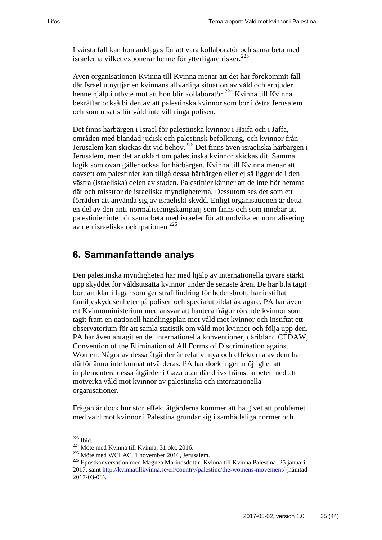I värsta fall kan hon anklagas för att vara kollaboratör och samarbeta med israelerna vilket exponerar henne för ytterligare risker. $^{223}$ 

Även organisationen Kvinna till Kvinna menar att det har förekommit fall där Israel utnyttjar en kvinnans allvarliga situation av våld och erbjuder henne hjälp i utbyte mot att hon blir kollaboratör.<sup>224</sup> Kvinna till Kvinna bekräftar också bilden av att palestinska kvinnor som bor i östra Jerusalem och som utsatts för våld inte vill ringa polisen.

Det finns härbärgen i Israel för palestinska kvinnor i Haifa och i Jaffa, områden med blandad judisk och palestinsk befolkning, och kvinnor från Jerusalem kan skickas dit vid behov.<sup>225</sup> Det finns även israeliska härbärgen i Jerusalem, men det är oklart om palestinska kvinnor skickas dit. Samma logik som ovan gäller också för härbärgen. Kvinna till Kvinna menar att oavsett om palestinier kan tillgå dessa härbärgen eller ej så ligger de i den västra (israeliska) delen av staden. Palestinier känner att de inte hör hemma där och misstror de israeliska myndigheterna. Dessutom ses det som ett förräderi att använda sig av israeliskt skydd. Enligt organisationen är detta en del av den anti-normaliseringskampanj som finns och som innebär att palestinier inte bör samarbeta med israeler för att undvika en normalisering av den israeliska ockupationen.<sup>226</sup>

#### <span id="page-34-0"></span>**6. Sammanfattande analys**

Den palestinska myndigheten har med hjälp av internationella givare stärkt upp skyddet för våldsutsatta kvinnor under de senaste åren. De har b.la tagit bort artiklar i lagar som ger strafflindring för hedersbrott, har instiftat familjeskyddsenheter på polisen och specialutbildat åklagare. PA har även ett Kvinnoministerium med ansvar att hantera frågor rörande kvinnor som tagit fram en nationell handlingsplan mot våld mot kvinnor och instiftat ett observatorium för att samla statistik om våld mot kvinnor och följa upp den. PA har även antagit en del internationella konventioner, däribland CEDAW, Convention of the Elimination of All Forms of Discrimination against Women. Några av dessa åtgärder är relativt nya och effekterna av dem har därför ännu inte kunnat utvärderas. PA har dock ingen möjlighet att implementera dessa åtgärder i Gaza utan där drivs främst arbetet med att motverka våld mot kvinnor av palestinska och internationella organisationer.

Frågan är dock hur stor effekt åtgärderna kommer att ha givet att problemet med våld mot kvinnor i Palestina grundar sig i samhälleliga normer och

 $223$  Ibid.

<sup>224</sup> Möte med Kvinna till Kvinna, 31 okt, 2016.

<sup>225</sup> Möte med WCLAC, 1 november 2016, Jerusalem.

<sup>226</sup> Epostkonversation med Magnea Marinosdottir, Kvinna till Kvinna Palestina, 25 januari 2017, samt<http://kvinnatillkvinna.se/en/country/palestine/the-womens-movement/> (hämtad 2017-03-08).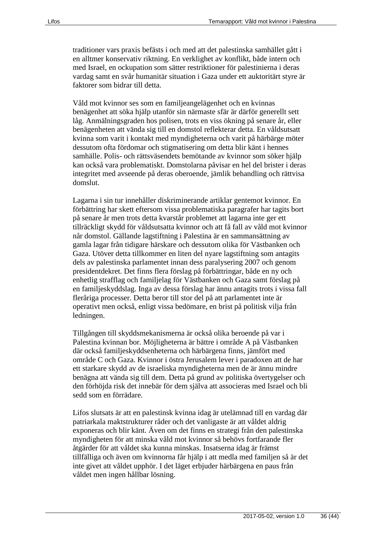traditioner vars praxis befästs i och med att det palestinska samhället gått i en alltmer konservativ riktning. En verklighet av konflikt, både intern och med Israel, en ockupation som sätter restriktioner för palestinierna i deras vardag samt en svår humanitär situation i Gaza under ett auktoritärt styre är faktorer som bidrar till detta.

Våld mot kvinnor ses som en familjeangelägenhet och en kvinnas benägenhet att söka hjälp utanför sin närmaste sfär är därför generellt sett låg. Anmälningsgraden hos polisen, trots en viss ökning på senare år, eller benägenheten att vända sig till en domstol reflekterar detta. En våldsutsatt kvinna som varit i kontakt med myndigheterna och varit på härbärge möter dessutom ofta fördomar och stigmatisering om detta blir känt i hennes samhälle. Polis- och rättsväsendets bemötande av kvinnor som söker hjälp kan också vara problematiskt. Domstolarna påvisar en hel del brister i deras integritet med avseende på deras oberoende, jämlik behandling och rättvisa domslut.

Lagarna i sin tur innehåller diskriminerande artiklar gentemot kvinnor. En förbättring har skett eftersom vissa problematiska paragrafer har tagits bort på senare år men trots detta kvarstår problemet att lagarna inte ger ett tillräckligt skydd för våldsutsatta kvinnor och att få fall av våld mot kvinnor når domstol. Gällande lagstiftning i Palestina är en sammansättning av gamla lagar från tidigare härskare och dessutom olika för Västbanken och Gaza. Utöver detta tillkommer en liten del nyare lagstiftning som antagits dels av palestinska parlamentet innan dess paralysering 2007 och genom presidentdekret. Det finns flera förslag på förbättringar, både en ny och enhetlig strafflag och familjelag för Västbanken och Gaza samt förslag på en familjeskyddslag. Inga av dessa förslag har ännu antagits trots i vissa fall fleråriga processer. Detta beror till stor del på att parlamentet inte är operativt men också, enligt vissa bedömare, en brist på politisk vilja från ledningen.

Tillgången till skyddsmekanismerna är också olika beroende på var i Palestina kvinnan bor. Möjligheterna är bättre i område A på Västbanken där också familjeskyddsenheterna och härbärgena finns, jämfört med område C och Gaza. Kvinnor i östra Jerusalem lever i paradoxen att de har ett starkare skydd av de israeliska myndigheterna men de är ännu mindre benägna att vända sig till dem. Detta på grund av politiska övertygelser och den förhöjda risk det innebär för dem själva att associeras med Israel och bli sedd som en förrädare.

Lifos slutsats är att en palestinsk kvinna idag är utelämnad till en vardag där patriarkala maktstrukturer råder och det vanligaste är att våldet aldrig exponeras och blir känt. Även om det finns en strategi från den palestinska myndigheten för att minska våld mot kvinnor så behövs fortfarande fler åtgärder för att våldet ska kunna minskas. Insatserna idag är främst tillfälliga och även om kvinnorna får hjälp i att medla med familjen så är det inte givet att våldet upphör. I det läget erbjuder härbärgena en paus från våldet men ingen hållbar lösning.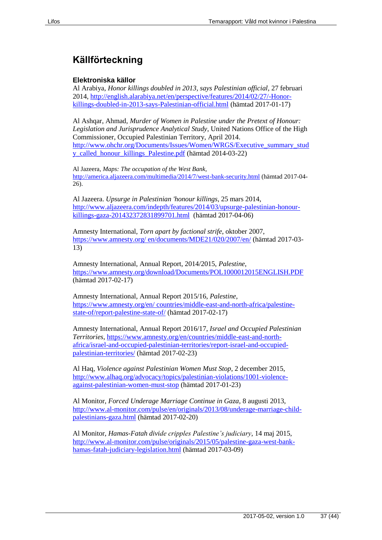# <span id="page-36-0"></span>**Källförteckning**

#### **Elektroniska källor**

Al Arabiya, *Honor killings doubled in 2013, says Palestinian official*, 27 februari 2014, [http://english.alarabiya.net/en/perspective/features/2014/02/27/-Honor](http://english.alarabiya.net/en/perspective/features/2014/02/27/-Honor-killings-doubled-in-2013-says-Palestinian-official.html)[killings-doubled-in-2013-says-Palestinian-official.html](http://english.alarabiya.net/en/perspective/features/2014/02/27/-Honor-killings-doubled-in-2013-says-Palestinian-official.html) (hämtad 2017-01-17)

Al Ashqar, Ahmad, *Murder of Women in Palestine under the Pretext of Honour: Legislation and Jurisprudence Analytical Study*, United Nations Office of the High Commissioner, Occupied Palestinian Territory, April 2014. [http://www.ohchr.org/Documents/Issues/Women/WRGS/Executive\\_summary\\_stud](http://www.ohchr.org/Documents/Issues/Women/WRGS/Executive_summary_study_called_honour_killings_Palestine.pdf) [y\\_called\\_honour\\_killings\\_Palestine.pdf](http://www.ohchr.org/Documents/Issues/Women/WRGS/Executive_summary_study_called_honour_killings_Palestine.pdf) (hämtad 2014-03-22)

Al Jazeera, *Maps: The occupation of the West Bank,* <http://america.aljazeera.com/multimedia/2014/7/west-bank-security.html> (hämtad 2017-04- 26).

Al Jazeera. *Upsurge in Palestinian 'honour killings*, 25 mars 2014, [http://www.aljazeera.com/indepth/features/2014/03/upsurge-palestinian-honour](http://www.aljazeera.com/indepth/features/2014/03/upsurge-palestinian-honour-killings-gaza-201432372831899701.html)[killings-gaza-201432372831899701.html](http://www.aljazeera.com/indepth/features/2014/03/upsurge-palestinian-honour-killings-gaza-201432372831899701.html) (hämtad 2017-04-06)

Amnesty International, *Torn apart by factional strife*, oktober 2007, [https://www.amnesty.org/ en/documents/MDE21/020/2007/en/](https://www.amnesty.org/%20en/documents/MDE21/020/2007/en/) (hämtad 2017-03- 13)

Amnesty International, Annual Report, 2014/2015, *Palestine*, <https://www.amnesty.org/download/Documents/POL1000012015ENGLISH.PDF> (hämtad 2017-02-17)

Amnesty International, Annual Report 2015/16, *Palestine*, [https://www.amnesty.org/en/ countries/middle-east-and-north-africa/palestine](https://www.amnesty.org/en/%20countries/middle-east-and-north-africa/palestine-state-of/report-palestine-state-of/)[state-of/report-palestine-state-of/](https://www.amnesty.org/en/%20countries/middle-east-and-north-africa/palestine-state-of/report-palestine-state-of/) (hämtad 2017-02-17)

Amnesty International, Annual Report 2016/17, *Israel and Occupied Palestinian Territories,* [https://www.amnesty.org/en/countries/middle-east-and-north](https://www.amnesty.org/en/countries/middle-east-and-north-africa/israel-and-occupied-palestinian-territories/report-israel-and-occupied-palestinian-territories/)[africa/israel-and-occupied-palestinian-territories/report-israel-and-occupied](https://www.amnesty.org/en/countries/middle-east-and-north-africa/israel-and-occupied-palestinian-territories/report-israel-and-occupied-palestinian-territories/)[palestinian-territories/](https://www.amnesty.org/en/countries/middle-east-and-north-africa/israel-and-occupied-palestinian-territories/report-israel-and-occupied-palestinian-territories/) (hämtad 2017-02-23)

Al Haq, *Violence against Palestinian Women Must Stop*, 2 december 2015, [http://www.alhaq.org/advocacy/topics/palestinian-violations/1001-violence](http://www.alhaq.org/advocacy/topics/palestinian-violations/1001-violence-against-palestinian-women-must-stop)[against-palestinian-women-must-stop](http://www.alhaq.org/advocacy/topics/palestinian-violations/1001-violence-against-palestinian-women-must-stop) (hämtad 2017-01-23)

Al Monitor, *Forced Underage Marriage Continue in Gaza*, 8 augusti 2013, [http://www.al-monitor.com/pulse/en/originals/2013/08/underage-marriage-child](http://www.al-monitor.com/pulse/en/originals/2013/08/underage-marriage-child-palestinians-gaza.html)[palestinians-gaza.html](http://www.al-monitor.com/pulse/en/originals/2013/08/underage-marriage-child-palestinians-gaza.html) (hämtad 2017-02-20)

Al Monitor, *Hamas-Fatah divide cripples Palestine's judiciary*, 14 maj 2015, [http://www.al-monitor.com/pulse/originals/2015/05/palestine-gaza-west-bank](http://www.al-monitor.com/pulse/originals/2015/05/palestine-gaza-west-bank-hamas-fatah-judiciary-legislation.html)[hamas-fatah-judiciary-legislation.html](http://www.al-monitor.com/pulse/originals/2015/05/palestine-gaza-west-bank-hamas-fatah-judiciary-legislation.html) (hämtad 2017-03-09)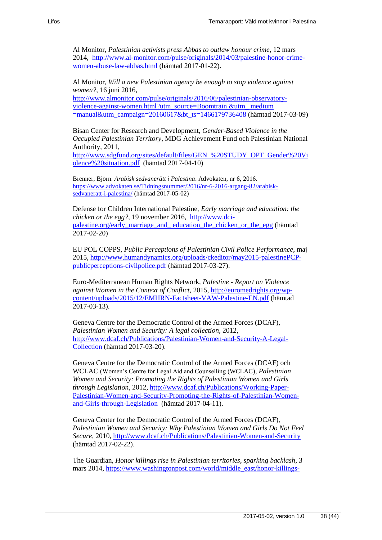Al Monitor, *Palestinian activists press Abbas to outlaw honour crime*, 12 mars 2014, [http://www.al-monitor.com/pulse/originals/2014/03/palestine-honor-crime](http://www.al-monitor.com/pulse/originals/2014/03/palestine-honor-crime-women-abuse-law-abbas.html)[women-abuse-law-abbas.html](http://www.al-monitor.com/pulse/originals/2014/03/palestine-honor-crime-women-abuse-law-abbas.html) (hämtad 2017-01-22).

Al Monitor, *Will a new Palestinian agency be enough to stop violence against women?*, 16 juni 2016,

[http://www.almonitor.com/pulse/originals/2016/06/palestinian-observatory](http://www.almonitor.com/pulse/originals/2016/06/palestinian-observatory-violence-against-women.html?utm_source=Boomtrain%20&utm_%20medium%20=manual&utm_campaign=20160617&bt_ts=1466179736408)[violence-against-women.html?utm\\_source=Boomtrain &utm\\_ medium](http://www.almonitor.com/pulse/originals/2016/06/palestinian-observatory-violence-against-women.html?utm_source=Boomtrain%20&utm_%20medium%20=manual&utm_campaign=20160617&bt_ts=1466179736408)  [=manual&utm\\_campaign=20160617&bt\\_ts=1466179736408](http://www.almonitor.com/pulse/originals/2016/06/palestinian-observatory-violence-against-women.html?utm_source=Boomtrain%20&utm_%20medium%20=manual&utm_campaign=20160617&bt_ts=1466179736408) (hämtad 2017-03-09)

Bisan Center for Research and Development, *Gender-Based Violence in the Occupied Palestinian Territory*, MDG Achievement Fund och Palestinian National Authority, 2011,

[http://www.sdgfund.org/sites/default/files/GEN\\_%20STUDY\\_OPT\\_Gender%20Vi](http://www.sdgfund.org/sites/default/files/GEN_%20STUDY_OPT_Gender%20Violence%20situation.pdf) [olence%20situation.pdf](http://www.sdgfund.org/sites/default/files/GEN_%20STUDY_OPT_Gender%20Violence%20situation.pdf) (hämtad 2017-04-10)

Brenner, Björn. *Arabisk sedvanerätt i Palestina*. Advokaten, nr 6, 2016. [https://www.advokaten.se/Tidningsnummer/2016/nr-6-2016-argang-82/arabisk](https://www.advokaten.se/Tidningsnummer/2016/nr-6-2016-argang-82/arabisk-sedvaneratt-i-palestina/)[sedvaneratt-i-palestina/](https://www.advokaten.se/Tidningsnummer/2016/nr-6-2016-argang-82/arabisk-sedvaneratt-i-palestina/) (hämtad 2017-05-02)

Defense for Children International Palestine, *Early marriage and education: the chicken or the egg?*, 19 november 2016, [http://www.dci](http://www.dci-palestine.org/early_marriage_and_%20education_the_chicken_or_the_egg)[palestine.org/early\\_marriage\\_and\\_ education\\_the\\_chicken\\_or\\_the\\_egg](http://www.dci-palestine.org/early_marriage_and_%20education_the_chicken_or_the_egg) (hämtad 2017-02-20)

EU POL COPPS, *Public Perceptions of Palestinian Civil Police Performance*, maj 2015, [http://www.humandynamics.org/uploads/ckeditor/may2015-palestinePCP](http://www.humandynamics.org/uploads/ckeditor/may2015-palestinePCP-publicperceptions-civilpolice.pdf)[publicperceptions-civilpolice.pdf](http://www.humandynamics.org/uploads/ckeditor/may2015-palestinePCP-publicperceptions-civilpolice.pdf) (hämtad 2017-03-27).

Euro-Mediterranean Human Rights Network, *Palestine - Report on Violence against Women in the Context of Conflict*, 2015, [http://euromedrights.org/wp](http://euromedrights.org/wp-content/uploads/2015/12/EMHRN-Factsheet-VAW-Palestine-EN.pdf)[content/uploads/2015/12/EMHRN-Factsheet-VAW-Palestine-EN.pdf](http://euromedrights.org/wp-content/uploads/2015/12/EMHRN-Factsheet-VAW-Palestine-EN.pdf) (hämtad 2017-03-13).

Geneva Centre for the Democratic Control of the Armed Forces (DCAF), *Palestinian Women and Security: A legal collection*, 2012, [http://www.dcaf.ch/Publications/Palestinian-Women-and-Security-A-Legal-](http://www.dcaf.ch/Publications/Palestinian-Women-and-Security-A-Legal-Collection)[Collection](http://www.dcaf.ch/Publications/Palestinian-Women-and-Security-A-Legal-Collection) (hämtad 2017-03-20).

Geneva Centre for the Democratic Control of the Armed Forces (DCAF) och WCLAC (Women's Centre for Legal Aid and Counselling (WCLAC), *Palestinian Women and Security: Promoting the Rights of Palestinian Women and Girls through Legislation*, 2012, [http://www.dcaf.ch/Publications/Working-Paper-](http://www.dcaf.ch/Publications/Working-Paper-Palestinian-Women-and-Security-Promoting-the-Rights-of-Palestinian-Women-and-Girls-through-Legislation)[Palestinian-Women-and-Security-Promoting-the-Rights-of-Palestinian-Women](http://www.dcaf.ch/Publications/Working-Paper-Palestinian-Women-and-Security-Promoting-the-Rights-of-Palestinian-Women-and-Girls-through-Legislation)[and-Girls-through-Legislation](http://www.dcaf.ch/Publications/Working-Paper-Palestinian-Women-and-Security-Promoting-the-Rights-of-Palestinian-Women-and-Girls-through-Legislation) (hämtad 2017-04-11).

Geneva Center for the Democratic Control of the Armed Forces (DCAF), *Palestinian Women and Security: Why Palestinian Women and Girls Do Not Feel Secure*, 2010,<http://www.dcaf.ch/Publications/Palestinian-Women-and-Security> (hämtad 2017-02-22).

The Guardian, *Honor killings rise in Palestinian territories, sparking backlash*, 3 mars 2014, [https://www.washingtonpost.com/world/middle\\_east/honor-killings-](https://www.washingtonpost.com/world/middle_east/honor-killings-rise-in-palestinian-territories-sparking-backlash/2014/03/02/1392d144-940c-11e3-9e13-770265cf4962_story.html?utm_term=.ce0103a1fc03)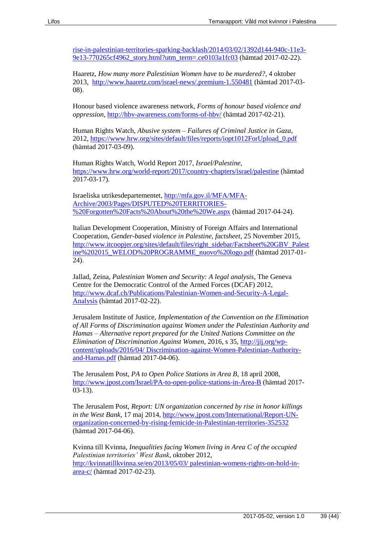[rise-in-palestinian-territories-sparking-backlash/2014/03/02/1392d144-940c-11e3-](https://www.washingtonpost.com/world/middle_east/honor-killings-rise-in-palestinian-territories-sparking-backlash/2014/03/02/1392d144-940c-11e3-9e13-770265cf4962_story.html?utm_term=.ce0103a1fc03) [9e13-770265cf4962\\_story.html?utm\\_term=.ce0103a1fc03](https://www.washingtonpost.com/world/middle_east/honor-killings-rise-in-palestinian-territories-sparking-backlash/2014/03/02/1392d144-940c-11e3-9e13-770265cf4962_story.html?utm_term=.ce0103a1fc03) (hämtad 2017-02-22).

Haaretz, *How many more Palestinian Women have to be murdered?*, 4 oktober 2013,<http://www.haaretz.com/israel-news/.premium-1.550481> (hämtad 2017-03- 08).

Honour based violence awareness network, *Forms of honour based violence and oppression*,<http://hbv-awareness.com/forms-of-hbv/> (hämtad 2017-02-21).

Human Rights Watch, *Abusive system – Failures of Criminal Justice in Gaza*, 2012, [https://www.hrw.org/sites/default/files/reports/iopt1012ForUpload\\_0.pdf](https://www.hrw.org/sites/default/files/reports/iopt1012ForUpload_0.pdf) (hämtad 2017-03-09).

Human Rights Watch, World Report 2017, *Israel/Palestine*, <https://www.hrw.org/world-report/2017/country-chapters/israel/palestine> (hämtad 2017-03-17).

Israeliska utrikesdepartementet, [http://mfa.gov.il/MFA/MFA-](http://mfa.gov.il/MFA/MFA-Archive/2003/Pages/DISPUTED%20TERRITORIES-%20Forgotten%20Facts%20About%20the%20We.aspx)[Archive/2003/Pages/DISPUTED%20TERRITORIES-](http://mfa.gov.il/MFA/MFA-Archive/2003/Pages/DISPUTED%20TERRITORIES-%20Forgotten%20Facts%20About%20the%20We.aspx) [%20Forgotten%20Facts%20About%20the%20We.aspx](http://mfa.gov.il/MFA/MFA-Archive/2003/Pages/DISPUTED%20TERRITORIES-%20Forgotten%20Facts%20About%20the%20We.aspx) (hämtad 2017-04-24).

Italian Development Cooperation, Ministry of Foreign Affairs and International Cooperation, *Gender-based violence in Palestine, factsheet*, 25 November 2015, [http://www.itcoopjer.org/sites/default/files/right\\_sidebar/Factsheet%20GBV\\_Palest](http://www.itcoopjer.org/sites/default/files/right_sidebar/Factsheet%20GBV_Palestine%202015_WELOD%20PROGRAMME_nuovo%20logo.pdf) [ine%202015\\_WELOD%20PROGRAMME\\_nuovo%20logo.pdf](http://www.itcoopjer.org/sites/default/files/right_sidebar/Factsheet%20GBV_Palestine%202015_WELOD%20PROGRAMME_nuovo%20logo.pdf) (hämtad 2017-01- 24).

Jallad, Zeina, *Palestinian Women and Security: A legal analysis*, The Geneva Centre for the Democratic Control of the Armed Forces (DCAF) 2012, [http://www.dcaf.ch/Publications/Palestinian-Women-and-Security-A-Legal-](http://www.dcaf.ch/Publications/Palestinian-Women-and-Security-A-Legal-Analysis)[Analysis](http://www.dcaf.ch/Publications/Palestinian-Women-and-Security-A-Legal-Analysis) (hämtad 2017-02-22).

Jerusalem Institute of Justice, *Implementation of the Convention on the Elimination of All Forms of Discrimination against Women under the Palestinian Authority and Hamas – Alternative report prepared for the United Nations Committee on the Elimination of Discrimination Against Women*, 2016, s 35[, http://jij.org/wp](http://jij.org/wp-content/uploads/2016/04/%20Discrimination-against-Women-Palestinian-Authority-and-Hamas.pdf)[content/uploads/2016/04/ Discrimination-against-Women-Palestinian-Authority](http://jij.org/wp-content/uploads/2016/04/%20Discrimination-against-Women-Palestinian-Authority-and-Hamas.pdf)[and-Hamas.pdf](http://jij.org/wp-content/uploads/2016/04/%20Discrimination-against-Women-Palestinian-Authority-and-Hamas.pdf) (hämtad 2017-04-06).

The Jerusalem Post, *PA to Open Police Stations in Area B*, 18 april 2008, <http://www.jpost.com/Israel/PA-to-open-police-stations-in-Area-B> (hämtad 2017- 03-13).

The Jerusalem Post, *Report: UN organization concerned by rise in honor killings in the West Bank,* 17 maj 2014, [http://www.jpost.com/International/Report-UN](http://www.jpost.com/International/Report-UN-organization-concerned-by-rising-femicide-in-Palestinian-territories-352532)[organization-concerned-by-rising-femicide-in-Palestinian-territories-352532](http://www.jpost.com/International/Report-UN-organization-concerned-by-rising-femicide-in-Palestinian-territories-352532) (hämtad 2017-04-06).

Kvinna till Kvinna, *Inequalities facing Women living in Area C of the occupied Palestinian territories' West Bank*, oktober 2012, [http://kvinnatillkvinna.se/en/2013/05/03/ palestinian-womens-rights-on-hold-in](http://kvinnatillkvinna.se/en/2013/05/03/%20palestinian-womens-rights-on-hold-in-area-c/)[area-c/](http://kvinnatillkvinna.se/en/2013/05/03/%20palestinian-womens-rights-on-hold-in-area-c/) (hämtad 2017-02-23).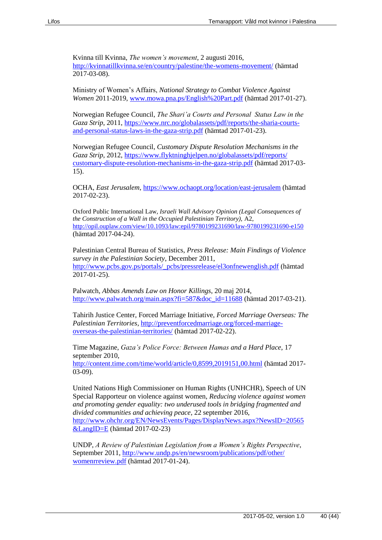Kvinna till Kvinna, *The women's movement*, 2 augusti 2016, <http://kvinnatillkvinna.se/en/country/palestine/the-womens-movement/> (hämtad 2017-03-08).

Ministry of Women's Affairs, *National Strategy to Combat Violence Against Women* 2011-2019, [www.mowa.pna.ps/English%20Part.pdf](http://www.mowa.pna.ps/English%20Part.pdf) (hämtad 2017-01-27).

Norwegian Refugee Council, *The Shari'a Courts and Personal Status Law in the Gaza Strip*, 2011, [https://www.nrc.no/globalassets/pdf/reports/the-sharia-courts](https://www.nrc.no/globalassets/pdf/reports/the-sharia-courts-and-personal-status-laws-in-the-gaza-strip.pdf)[and-personal-status-laws-in-the-gaza-strip.pdf](https://www.nrc.no/globalassets/pdf/reports/the-sharia-courts-and-personal-status-laws-in-the-gaza-strip.pdf) (hämtad 2017-01-23).

Norwegian Refugee Council, *Customary Dispute Resolution Mechanisms in the Gaza Strip*, 2012, [https://www.flyktninghjelpen.no/globalassets/pdf/reports/](https://www.flyktninghjelpen.no/globalassets/pdf/reports/%20customary-dispute-resolution-mechanisms-in-the-gaza-strip.pdf)  [customary-dispute-resolution-mechanisms-in-the-gaza-strip.pdf](https://www.flyktninghjelpen.no/globalassets/pdf/reports/%20customary-dispute-resolution-mechanisms-in-the-gaza-strip.pdf) (hämtad 2017-03- 15).

OCHA, *East Jerusalem*,<https://www.ochaopt.org/location/east-jerusalem> (hämtad 2017-02-23).

Oxford Public International Law*, Israeli Wall Advisory Opinion (Legal Consequences of the Construction of a Wall in the Occupied Palestinian Territory),* A2, <http://opil.ouplaw.com/view/10.1093/law:epil/9780199231690/law-9780199231690-e150> (hämtad 2017-04-24).

Palestinian Central Bureau of Statistics, *Press Release: Main Findings of Violence survey in the Palestinian Society*, December 2011, [http://www.pcbs.gov.ps/portals/\\_pcbs/pressrelease/el3onfnewenglish.pdf](http://www.pcbs.gov.ps/portals/_pcbs/pressrelease/el3onfnewenglish.pdf) (hämtad 2017-01-25).

Palwatch, *Abbas Amends Law on Honor Killings*, 20 maj 2014, [http://www.palwatch.org/main.aspx?fi=587&doc\\_id=11688](http://www.palwatch.org/main.aspx?fi=587&doc_id=11688) (hämtad 2017-03-21).

Tahirih Justice Center, Forced Marriage Initiative, *Forced Marriage Overseas: The Palestinian Territories*, [http://preventforcedmarriage.org/forced-marriage](http://preventforcedmarriage.org/forced-marriage-overseas-the-palestinian-territories/)[overseas-the-palestinian-territories/](http://preventforcedmarriage.org/forced-marriage-overseas-the-palestinian-territories/) (hämtad 2017-02-22).

Time Magazine, *Gaza's Police Force: Between Hamas and a Hard Place*, 17 september 2010, <http://content.time.com/time/world/article/0,8599,2019151,00.html> (hämtad 2017-

03-09).

United Nations High Commissioner on Human Rights (UNHCHR), Speech of UN Special Rapporteur on violence against women, *Reducing violence against women and promoting gender equality: two underused tools in bridging fragmented and divided communities and achieving peace*, 22 september 2016, [http://www.ohchr.org/EN/NewsEvents/Pages/DisplayNews.aspx?NewsID=20565](http://www.ohchr.org/EN/NewsEvents/Pages/DisplayNews.aspx?NewsID=20565&LangID=E) [&LangID=E](http://www.ohchr.org/EN/NewsEvents/Pages/DisplayNews.aspx?NewsID=20565&LangID=E) (hämtad 2017-02-23)

UNDP, *A Review of Palestinian Legislation from a Women's Rights Perspective*, September 2011[, http://www.undp.ps/en/newsroom/publications/pdf/other/](http://www.undp.ps/en/newsroom/publications/pdf/other/%20womenrreview.pdf)  [womenrreview.pdf](http://www.undp.ps/en/newsroom/publications/pdf/other/%20womenrreview.pdf) (hämtad 2017-01-24).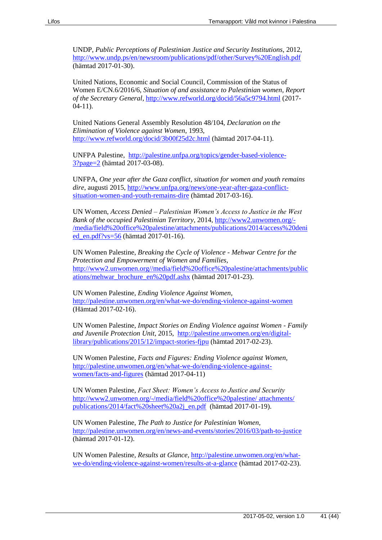UNDP, *Public Perceptions of Palestinian Justice and Security Institutions*, 2012, <http://www.undp.ps/en/newsroom/publications/pdf/other/Survey%20English.pdf> (hämtad 2017-01-30).

United Nations, Economic and Social Council, Commission of the Status of Women E/CN.6/2016/6, *Situation of and assistance to Palestinian women, Report of the Secretary General*,<http://www.refworld.org/docid/56a5c9794.html> (2017- 04-11).

United Nations General Assembly Resolution 48/104, *[Declaration on the](http://www.un.org/documents/ga/res/48/a48r104.htm)  [Elimination of Violence against Women](http://www.un.org/documents/ga/res/48/a48r104.htm)*, 1993, <http://www.refworld.org/docid/3b00f25d2c.html> (hämtad 2017-04-11).

UNFPA Palestine, [http://palestine.unfpa.org/topics/gender-based-violence-](http://palestine.unfpa.org/topics/gender-based-violence-3?page=2)[3?page=2](http://palestine.unfpa.org/topics/gender-based-violence-3?page=2) (hämtad 2017-03-08).

UNFPA, *One year after the Gaza conflict, situation for women and youth remains dire*, augusti 2015[, http://www.unfpa.org/news/one-year-after-gaza-conflict](http://www.unfpa.org/news/one-year-after-gaza-conflict-situation-women-and-youth-remains-dire)[situation-women-and-youth-remains-dire](http://www.unfpa.org/news/one-year-after-gaza-conflict-situation-women-and-youth-remains-dire) (hämtad 2017-03-16).

UN Women, *Access Denied – Palestinian Women's Access to Justice in the West Bank of the occupied Palestinian Territory*, 2014, [http://www2.unwomen.org/-](http://www2.unwomen.org/-/media/field%20office%20palestine/attachments/publications/2014/access%20denied_en.pdf?vs=56) [/media/field%20office%20palestine/attachments/publications/2014/access%20deni](http://www2.unwomen.org/-/media/field%20office%20palestine/attachments/publications/2014/access%20denied_en.pdf?vs=56) [ed\\_en.pdf?vs=56](http://www2.unwomen.org/-/media/field%20office%20palestine/attachments/publications/2014/access%20denied_en.pdf?vs=56) (hämtad 2017-01-16).

UN Women Palestine, *Breaking the Cycle of Violence - Mehwar Centre for the Protection and Empowerment of Women and Families*, [http://www2.unwomen.org//media/field%20office%20palestine/attachments/public](http://www2.unwomen.org/media/field%20office%20palestine/attachments/publications/mehwar_brochure_en%20pdf.ashx) [ations/mehwar\\_brochure\\_en%20pdf.ashx](http://www2.unwomen.org/media/field%20office%20palestine/attachments/publications/mehwar_brochure_en%20pdf.ashx) (hämtad 2017-01-23).

UN Women Palestine, *Ending Violence Against Women*, <http://palestine.unwomen.org/en/what-we-do/ending-violence-against-women> (Hämtad 2017-02-16).

UN Women Palestine, *Impact Stories on Ending Violence against Women - Family and Juvenile Protection Unit*, 2015, [http://palestine.unwomen.org/en/digital](http://palestine.unwomen.org/en/digital-library/publications/2015/12/impact-stories-fjpu)[library/publications/2015/12/impact-stories-fjpu](http://palestine.unwomen.org/en/digital-library/publications/2015/12/impact-stories-fjpu) (hämtad 2017-02-23).

UN Women Palestine, *Facts and Figures: Ending Violence against Women,* [http://palestine.unwomen.org/en/what-we-do/ending-violence-against](http://palestine.unwomen.org/en/what-we-do/ending-violence-against-women/facts-and-figures)[women/facts-and-figures](http://palestine.unwomen.org/en/what-we-do/ending-violence-against-women/facts-and-figures) (hämtad 2017-04-11)

UN Women Palestine, *Fact Sheet: Women's Access to Justice and Security* [http://www2.unwomen.org/-/media/field%20office%20palestine/ attachments/](http://www2.unwomen.org/-/media/field%20office%20palestine/%20attachments/%20publications/2014/fact%20sheet%20a2j_en.pdf)  [publications/2014/fact%20sheet%20a2j\\_en.pdf](http://www2.unwomen.org/-/media/field%20office%20palestine/%20attachments/%20publications/2014/fact%20sheet%20a2j_en.pdf) (hämtad 2017-01-19).

UN Women Palestine, *The Path to Justice for Palestinian Women,*  <http://palestine.unwomen.org/en/news-and-events/stories/2016/03/path-to-justice> (hämtad 2017-01-12).

UN Women Palestine, *Results at Glance*, [http://palestine.unwomen.org/en/what](http://palestine.unwomen.org/en/what-we-do/ending-violence-against-women/results-at-a-glance)[we-do/ending-violence-against-women/results-at-a-glance](http://palestine.unwomen.org/en/what-we-do/ending-violence-against-women/results-at-a-glance) (hämtad 2017-02-23).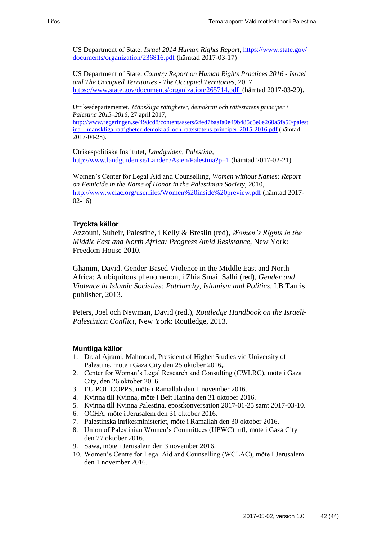US Department of State, *Israel 2014 Human Rights Report*, [https://www.state.gov/](https://www.state.gov/%20documents/organization/236816.pdf)  [documents/organization/236816.pdf](https://www.state.gov/%20documents/organization/236816.pdf) (hämtad 2017-03-17)

US Department of State, *Country Report on Human Rights Practices 2016 - Israel and The Occupied Territories - The Occupied Territories*, 2017, <https://www.state.gov/documents/organization/265714.pdf>(hämtad 2017-03-29).

Utrikesdepartementet, *Mänskliga rättigheter, demokrati och rättsstatens principer i Palestina 2015–2016*, 27 april 2017,

[http://www.regeringen.se/498cd8/contentassets/2fed7baafa0e49b485c5e6e260a5fa50/palest](http://www.regeringen.se/498cd8/contentassets/2fed7baafa0e49b485c5e6e260a5fa50/palestina---manskliga-rattigheter-demokrati-och-rattsstatens-principer-2015-2016.pdf) [ina---manskliga-rattigheter-demokrati-och-rattsstatens-principer-2015-2016.pdf](http://www.regeringen.se/498cd8/contentassets/2fed7baafa0e49b485c5e6e260a5fa50/palestina---manskliga-rattigheter-demokrati-och-rattsstatens-principer-2015-2016.pdf) (hämtad 2017-04-28).

Utrikespolitiska Institutet, *Landguiden, Palestina*, [http://www.landguiden.se/Lander /Asien/Palestina?p=1](http://www.landguiden.se/Lander%20/Asien/Palestina?p=1) (hämtad 2017-02-21)

Women's Center for Legal Aid and Counselling, *Women without Names: Report on Femicide in the Name of Honor in the Palestinian Society*, 2010, <http://www.wclac.org/userfiles/Women%20inside%20preview.pdf> (hämtad 2017- 02-16)

#### **Tryckta källor**

Azzouni, Suheir, Palestine, i Kelly & Breslin (red), *Women's Rights in the Middle East and North Africa: Progress Amid Resistance*, New York: Freedom House 2010.

Ghanim, David. Gender-Based Violence in the Middle East and North Africa: A ubiquitous phenomenon, i Zhia Smail Salhi (red), *Gender and Violence in Islamic Societies: Patriarchy, Islamism and Politics*, I.B Tauris publisher, 2013.

Peters, Joel och Newman, David (red.), *Routledge Handbook on the Israeli-Palestinian Conflict*, New York: Routledge, 2013.

#### **Muntliga källor**

- 1. Dr. al Ajrami, Mahmoud, President of Higher Studies vid University of Palestine, möte i Gaza City den 25 oktober 2016,.
- 2. Center for Woman's Legal Research and Consulting (CWLRC), möte i Gaza City, den 26 oktober 2016.
- 3. EU POL COPPS, möte i Ramallah den 1 november 2016.
- 4. Kvinna till Kvinna, möte i Beit Hanina den 31 oktober 2016.
- 5. Kvinna till Kvinna Palestina, epostkonversation 2017-01-25 samt 2017-03-10.
- 6. OCHA, möte i Jerusalem den 31 oktober 2016.
- 7. Palestinska inrikesministeriet, möte i Ramallah den 30 oktober 2016.
- 8. Union of Palestinian Women's Committees (UPWC) mfl, möte i Gaza City den 27 oktober 2016.
- 9. Sawa, möte i Jerusalem den 3 november 2016.
- 10. Women's Centre for Legal Aid and Counselling (WCLAC), möte I Jerusalem den 1 november 2016.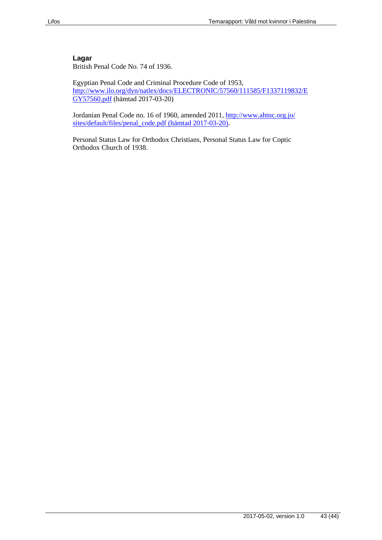#### **Lagar**

British Penal Code No. 74 of 1936.

Egyptian Penal Code and Criminal Procedure Code of 1953, [http://www.ilo.org/dyn/natlex/docs/ELECTRONIC/57560/111585/F1337119832/E](http://www.ilo.org/dyn/natlex/docs/ELECTRONIC/57560/111585/F1337119832/EGY57560.pdf) [GY57560.pdf](http://www.ilo.org/dyn/natlex/docs/ELECTRONIC/57560/111585/F1337119832/EGY57560.pdf) (hämtad 2017-03-20)

Jordanian Penal Code no. 16 of 1960, amended 2011, [http://www.ahtnc.org.jo/](http://www.ahtnc.org.jo/%20sites/default/files/penal_code.pdf)  [sites/default/files/penal\\_code.pdf](http://www.ahtnc.org.jo/%20sites/default/files/penal_code.pdf) (hämtad 2017-03-20).

Personal Status Law for Orthodox Christians, Personal Status Law for Coptic Orthodox Church of 1938.